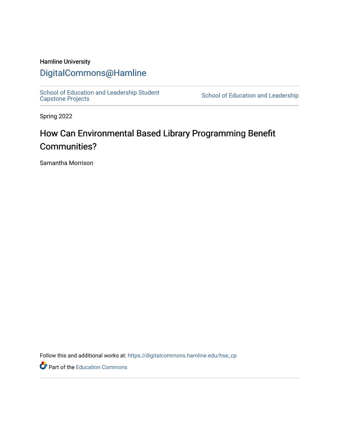# Hamline University

# [DigitalCommons@Hamline](https://digitalcommons.hamline.edu/)

[School of Education and Leadership Student](https://digitalcommons.hamline.edu/hse_cp)<br>Capstone Projects

School of Education and Leadership

Spring 2022

# How Can Environmental Based Library Programming Benefit Communities?

Samantha Morrison

Follow this and additional works at: [https://digitalcommons.hamline.edu/hse\\_cp](https://digitalcommons.hamline.edu/hse_cp?utm_source=digitalcommons.hamline.edu%2Fhse_cp%2F808&utm_medium=PDF&utm_campaign=PDFCoverPages) 

Part of the [Education Commons](https://network.bepress.com/hgg/discipline/784?utm_source=digitalcommons.hamline.edu%2Fhse_cp%2F808&utm_medium=PDF&utm_campaign=PDFCoverPages)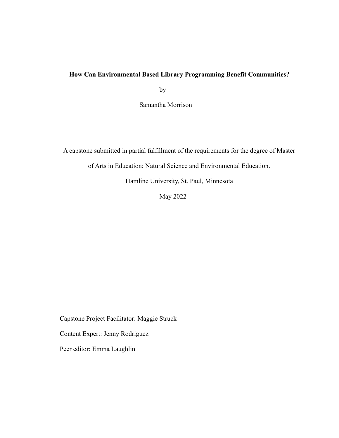# **How Can Environmental Based Library Programming Benefit Communities?**

by

Samantha Morrison

A capstone submitted in partial fulfillment of the requirements for the degree of Master

of Arts in Education: Natural Science and Environmental Education.

Hamline University, St. Paul, Minnesota

May 2022

Capstone Project Facilitator: Maggie Struck

Content Expert: Jenny Rodriguez

Peer editor: Emma Laughlin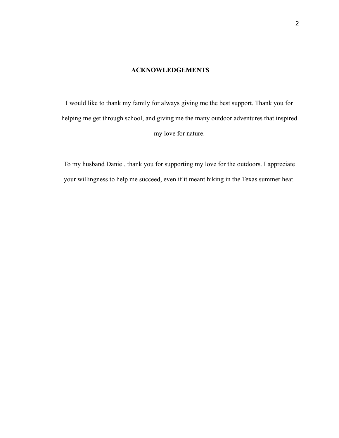## **ACKNOWLEDGEMENTS**

I would like to thank my family for always giving me the best support. Thank you for helping me get through school, and giving me the many outdoor adventures that inspired my love for nature.

To my husband Daniel, thank you for supporting my love for the outdoors. I appreciate your willingness to help me succeed, even if it meant hiking in the Texas summer heat.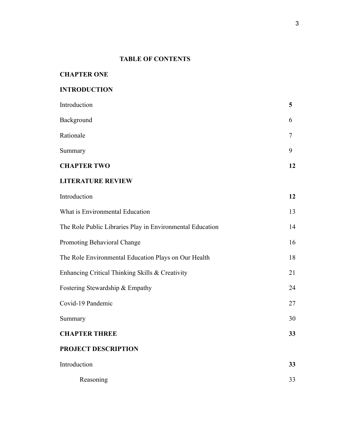# **TABLE OF CONTENTS**

# **INTRODUCTION**

| <b>CHAPTER TWO</b> | 12 |
|--------------------|----|
| Summary            | 9  |
| Rationale          |    |
| Background         | 6  |
| Introduction       | 5  |

# **LITERATURE REVIEW**

| Introduction                                              | 12 |
|-----------------------------------------------------------|----|
| What is Environmental Education                           | 13 |
| The Role Public Libraries Play in Environmental Education | 14 |
| <b>Promoting Behavioral Change</b>                        | 16 |
| The Role Environmental Education Plays on Our Health      | 18 |
| Enhancing Critical Thinking Skills & Creativity           | 21 |
| Fostering Stewardship & Empathy                           | 24 |
| Covid-19 Pandemic                                         | 27 |
| Summary                                                   | 30 |
| <b>CHAPTER THREE</b>                                      | 33 |
| PROJECT DESCRIPTION                                       |    |
| Introduction                                              | 33 |
| Reasoning                                                 | 33 |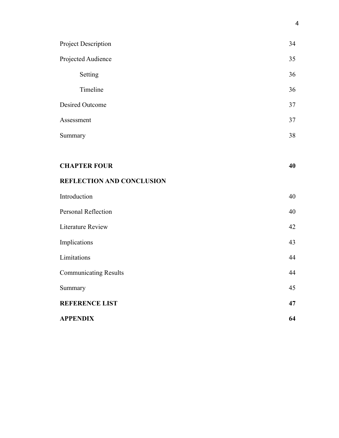| Project Description              | 34 |
|----------------------------------|----|
| Projected Audience               | 35 |
| Setting                          | 36 |
| Timeline                         | 36 |
| <b>Desired Outcome</b>           | 37 |
| Assessment                       | 37 |
| Summary                          | 38 |
|                                  |    |
| <b>CHAPTER FOUR</b>              | 40 |
| <b>REFLECTION AND CONCLUSION</b> |    |
| Introduction                     | 40 |
| Personal Reflection              | 40 |
| <b>Literature Review</b>         | 42 |
| Implications                     | 43 |
| Limitations                      | 44 |
| <b>Communicating Results</b>     | 44 |
| Summary                          | 45 |
| <b>REFERENCE LIST</b>            | 47 |
| <b>APPENDIX</b>                  | 64 |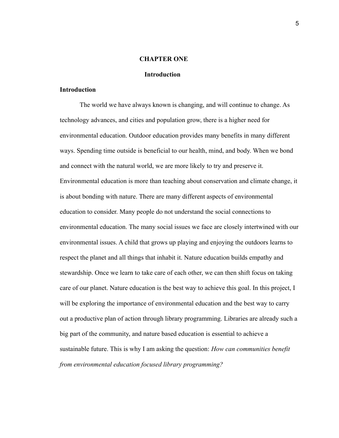## **CHAPTER ONE**

#### **Introduction**

## **Introduction**

The world we have always known is changing, and will continue to change. As technology advances, and cities and population grow, there is a higher need for environmental education. Outdoor education provides many benefits in many different ways. Spending time outside is beneficial to our health, mind, and body. When we bond and connect with the natural world, we are more likely to try and preserve it. Environmental education is more than teaching about conservation and climate change, it is about bonding with nature. There are many different aspects of environmental education to consider. Many people do not understand the social connections to environmental education. The many social issues we face are closely intertwined with our environmental issues. A child that grows up playing and enjoying the outdoors learns to respect the planet and all things that inhabit it. Nature education builds empathy and stewardship. Once we learn to take care of each other, we can then shift focus on taking care of our planet. Nature education is the best way to achieve this goal. In this project, I will be exploring the importance of environmental education and the best way to carry out a productive plan of action through library programming. Libraries are already such a big part of the community, and nature based education is essential to achieve a sustainable future. This is why I am asking the question: *How can communities benefit from environmental education focused library programming?*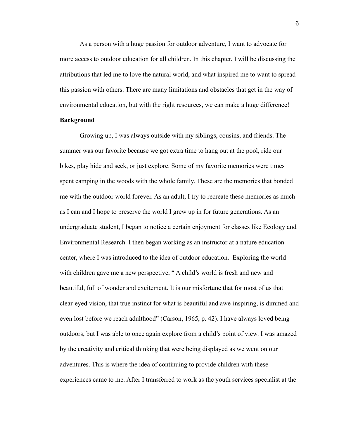As a person with a huge passion for outdoor adventure, I want to advocate for more access to outdoor education for all children. In this chapter, I will be discussing the attributions that led me to love the natural world, and what inspired me to want to spread this passion with others. There are many limitations and obstacles that get in the way of environmental education, but with the right resources, we can make a huge difference!

# **Background**

Growing up, I was always outside with my siblings, cousins, and friends. The summer was our favorite because we got extra time to hang out at the pool, ride our bikes, play hide and seek, or just explore. Some of my favorite memories were times spent camping in the woods with the whole family. These are the memories that bonded me with the outdoor world forever. As an adult, I try to recreate these memories as much as I can and I hope to preserve the world I grew up in for future generations. As an undergraduate student, I began to notice a certain enjoyment for classes like Ecology and Environmental Research. I then began working as an instructor at a nature education center, where I was introduced to the idea of outdoor education. Exploring the world with children gave me a new perspective, " A child's world is fresh and new and beautiful, full of wonder and excitement. It is our misfortune that for most of us that clear-eyed vision, that true instinct for what is beautiful and awe-inspiring, is dimmed and even lost before we reach adulthood" (Carson, 1965, p. 42). I have always loved being outdoors, but I was able to once again explore from a child's point of view. I was amazed by the creativity and critical thinking that were being displayed as we went on our adventures. This is where the idea of continuing to provide children with these experiences came to me. After I transferred to work as the youth services specialist at the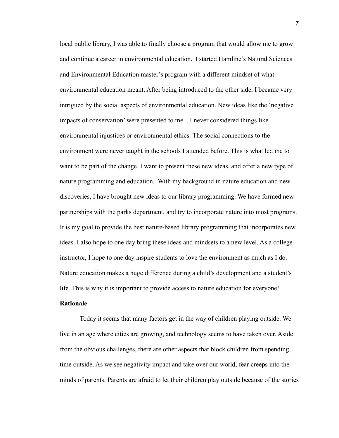local public library, I was able to finally choose a program that would allow me to grow and continue a career in environmental education. I started Hamline's Natural Sciences and Environmental Education master's program with a different mindset of what environmental education meant. After being introduced to the other side, I became very intrigued by the social aspects of environmental education. New ideas like the 'negative impacts of conservation' were presented to me. . I never considered things like environmental injustices or environmental ethics. The social connections to the environment were never taught in the schools I attended before. This is what led me to want to be part of the change. I want to present these new ideas, and offer a new type of nature programming and education. With my background in nature education and new discoveries, I have brought new ideas to our library programming. We have formed new partnerships with the parks department, and try to incorporate nature into most programs. It is my goal to provide the best nature-based library programming that incorporates new ideas. I also hope to one day bring these ideas and mindsets to a new level. As a college instructor, I hope to one day inspire students to love the environment as much as I do. Nature education makes a huge difference during a child's development and a student's life. This is why it is important to provide access to nature education for everyone!

# **Rationale**

Today it seems that many factors get in the way of children playing outside. We live in an age where cities are growing, and technology seems to have taken over. Aside from the obvious challenges, there are other aspects that block children from spending time outside. As we see negativity impact and take over our world, fear creeps into the minds of parents. Parents are afraid to let their children play outside because of the stories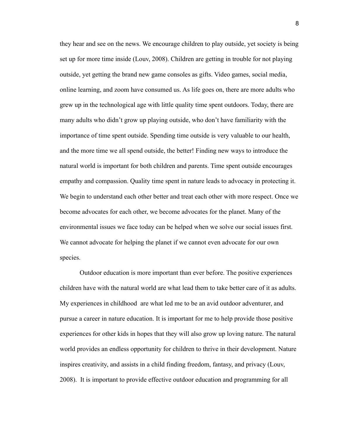they hear and see on the news. We encourage children to play outside, yet society is being set up for more time inside (Louv, 2008). Children are getting in trouble for not playing outside, yet getting the brand new game consoles as gifts. Video games, social media, online learning, and zoom have consumed us. As life goes on, there are more adults who grew up in the technological age with little quality time spent outdoors. Today, there are many adults who didn't grow up playing outside, who don't have familiarity with the importance of time spent outside. Spending time outside is very valuable to our health, and the more time we all spend outside, the better! Finding new ways to introduce the natural world is important for both children and parents. Time spent outside encourages empathy and compassion. Quality time spent in nature leads to advocacy in protecting it. We begin to understand each other better and treat each other with more respect. Once we become advocates for each other, we become advocates for the planet. Many of the environmental issues we face today can be helped when we solve our social issues first. We cannot advocate for helping the planet if we cannot even advocate for our own species.

Outdoor education is more important than ever before. The positive experiences children have with the natural world are what lead them to take better care of it as adults. My experiences in childhood are what led me to be an avid outdoor adventurer, and pursue a career in nature education. It is important for me to help provide those positive experiences for other kids in hopes that they will also grow up loving nature. The natural world provides an endless opportunity for children to thrive in their development. Nature inspires creativity, and assists in a child finding freedom, fantasy, and privacy (Louv, 2008). It is important to provide effective outdoor education and programming for all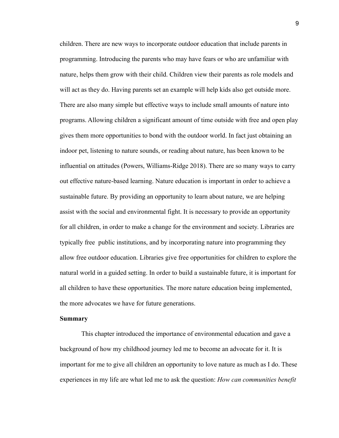children. There are new ways to incorporate outdoor education that include parents in programming. Introducing the parents who may have fears or who are unfamiliar with nature, helps them grow with their child. Children view their parents as role models and will act as they do. Having parents set an example will help kids also get outside more. There are also many simple but effective ways to include small amounts of nature into programs. Allowing children a significant amount of time outside with free and open play gives them more opportunities to bond with the outdoor world. In fact just obtaining an indoor pet, listening to nature sounds, or reading about nature, has been known to be influential on attitudes (Powers, Williams-Ridge 2018). There are so many ways to carry out effective nature-based learning. Nature education is important in order to achieve a sustainable future. By providing an opportunity to learn about nature, we are helping assist with the social and environmental fight. It is necessary to provide an opportunity for all children, in order to make a change for the environment and society. Libraries are typically free public institutions, and by incorporating nature into programming they allow free outdoor education. Libraries give free opportunities for children to explore the natural world in a guided setting. In order to build a sustainable future, it is important for all children to have these opportunities. The more nature education being implemented, the more advocates we have for future generations.

#### **Summary**

This chapter introduced the importance of environmental education and gave a background of how my childhood journey led me to become an advocate for it. It is important for me to give all children an opportunity to love nature as much as I do. These experiences in my life are what led me to ask the question: *How can communities benefit*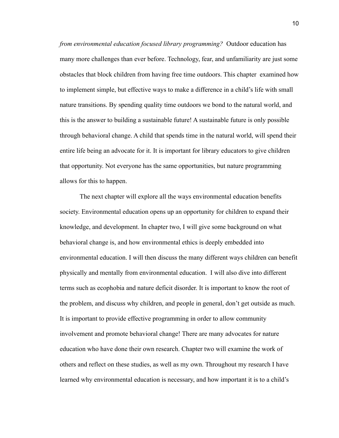*from environmental education focused library programming?* Outdoor education has many more challenges than ever before. Technology, fear, and unfamiliarity are just some obstacles that block children from having free time outdoors. This chapter examined how to implement simple, but effective ways to make a difference in a child's life with small nature transitions. By spending quality time outdoors we bond to the natural world, and this is the answer to building a sustainable future! A sustainable future is only possible through behavioral change. A child that spends time in the natural world, will spend their entire life being an advocate for it. It is important for library educators to give children that opportunity. Not everyone has the same opportunities, but nature programming allows for this to happen.

The next chapter will explore all the ways environmental education benefits society. Environmental education opens up an opportunity for children to expand their knowledge, and development. In chapter two, I will give some background on what behavioral change is, and how environmental ethics is deeply embedded into environmental education. I will then discuss the many different ways children can benefit physically and mentally from environmental education. I will also dive into different terms such as ecophobia and nature deficit disorder. It is important to know the root of the problem, and discuss why children, and people in general, don't get outside as much. It is important to provide effective programming in order to allow community involvement and promote behavioral change! There are many advocates for nature education who have done their own research. Chapter two will examine the work of others and reflect on these studies, as well as my own. Throughout my research I have learned why environmental education is necessary, and how important it is to a child's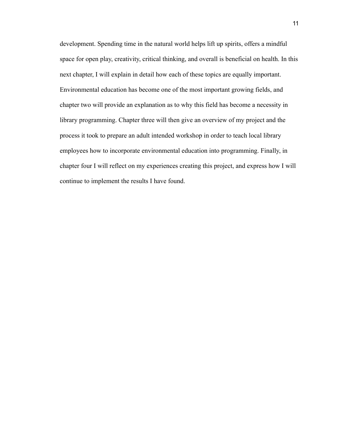development. Spending time in the natural world helps lift up spirits, offers a mindful space for open play, creativity, critical thinking, and overall is beneficial on health. In this next chapter, I will explain in detail how each of these topics are equally important. Environmental education has become one of the most important growing fields, and chapter two will provide an explanation as to why this field has become a necessity in library programming. Chapter three will then give an overview of my project and the process it took to prepare an adult intended workshop in order to teach local library employees how to incorporate environmental education into programming. Finally, in chapter four I will reflect on my experiences creating this project, and express how I will continue to implement the results I have found.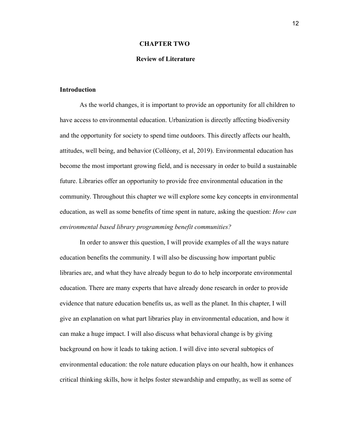## **CHAPTER TWO**

#### **Review of Literature**

#### **Introduction**

As the world changes, it is important to provide an opportunity for all children to have access to environmental education. Urbanization is directly affecting biodiversity and the opportunity for society to spend time outdoors. This directly affects our health, attitudes, well being, and behavior (Colléony, et al, 2019). Environmental education has become the most important growing field, and is necessary in order to build a sustainable future. Libraries offer an opportunity to provide free environmental education in the community. Throughout this chapter we will explore some key concepts in environmental education, as well as some benefits of time spent in nature, asking the question: *How can environmental based library programming benefit communities?*

In order to answer this question, I will provide examples of all the ways nature education benefits the community. I will also be discussing how important public libraries are, and what they have already begun to do to help incorporate environmental education. There are many experts that have already done research in order to provide evidence that nature education benefits us, as well as the planet. In this chapter, I will give an explanation on what part libraries play in environmental education, and how it can make a huge impact. I will also discuss what behavioral change is by giving background on how it leads to taking action. I will dive into several subtopics of environmental education: the role nature education plays on our health, how it enhances critical thinking skills, how it helps foster stewardship and empathy, as well as some of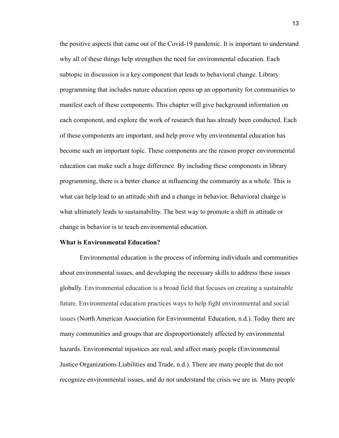the positive aspects that came out of the Covid-19 pandemic. It is important to understand why all of these things help strengthen the need for environmental education. Each subtopic in discussion is a key component that leads to behavioral change. Library programming that includes nature education opens up an opportunity for communities to manifest each of these components. This chapter will give background information on each component, and explore the work of research that has already been conducted. Each of these components are important, and help prove why environmental education has become such an important topic. These components are the reason proper environmental education can make such a huge difference. By including these components in library programming, there is a better chance at influencing the community as a whole. This is what can help lead to an attitude shift and a change in behavior. Behavioral change is what ultimately leads to sustainability. The best way to promote a shift in attitude or change in behavior is to teach environmental education.

#### **What is Environmental Education?**

Environmental education is the process of informing individuals and communities about environmental issues, and developing the necessary skills to address these issues globally. Environmental education is a broad field that focuses on creating a sustainable future. Environmental education practices ways to help fight environmental and social issues (North American Association for Environmental Education, n.d.). Today there are many communities and groups that are disproportionately affected by environmental hazards. Environmental injustices are real, and affect many people (Environmental Justice Organizations Liabilities and Trade, n.d.). There are many people that do not recognize environmental issues, and do not understand the crisis we are in. Many people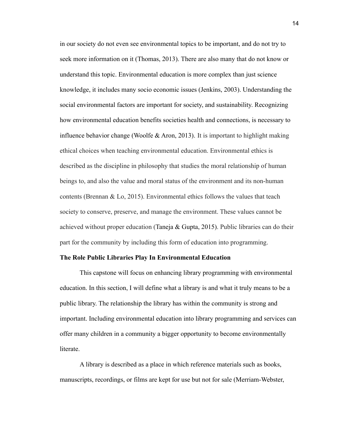in our society do not even see environmental topics to be important, and do not try to seek more information on it (Thomas, 2013). There are also many that do not know or understand this topic. Environmental education is more complex than just science knowledge, it includes many socio economic issues (Jenkins, 2003). Understanding the social environmental factors are important for society, and sustainability. Recognizing how environmental education benefits societies health and connections, is necessary to influence behavior change (Woolfe  $\&$  Aron, 2013). It is important to highlight making ethical choices when teaching environmental education. Environmental ethics is described as the discipline in philosophy that studies the moral relationship of human beings to, and also the value and moral status of the environment and its non-human contents (Brennan & Lo, 2015). Environmental ethics follows the values that teach society to conserve, preserve, and manage the environment. These values cannot be achieved without proper education (Taneja & Gupta, 2015). Public libraries can do their part for the community by including this form of education into programming.

#### **The Role Public Libraries Play In Environmental Education**

This capstone will focus on enhancing library programming with environmental education. In this section, I will define what a library is and what it truly means to be a public library. The relationship the library has within the community is strong and important. Including environmental education into library programming and services can offer many children in a community a bigger opportunity to become environmentally **literate** 

A library is described as a place in which reference materials such as books, manuscripts, recordings, or films are kept for use but not for sale (Merriam-Webster,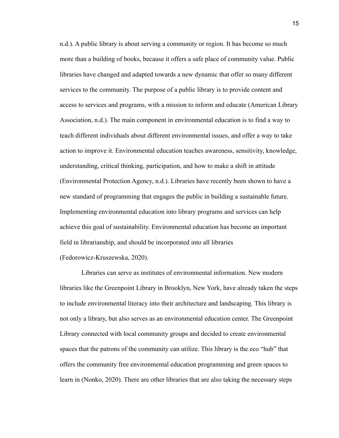n.d.). A public library is about serving a community or region. It has become so much more than a building of books, because it offers a safe place of community value. Public libraries have changed and adapted towards a new dynamic that offer so many different services to the community. The purpose of a public library is to provide content and access to services and programs, with a mission to inform and educate (American Library Association, n.d.). The main component in environmental education is to find a way to teach different individuals about different environmental issues, and offer a way to take action to improve it. Environmental education teaches awareness, sensitivity, knowledge, understanding, critical thinking, participation, and how to make a shift in attitude (Environmental Protection Agency, n.d.). Libraries have recently been shown to have a new standard of programming that engages the public in building a sustainable future. Implementing environmental education into library programs and services can help achieve this goal of sustainability. Environmental education has become an important field in librarianship, and should be incorporated into all libraries (Fedorowicz-Kruszewska, 2020).

Libraries can serve as institutes of environmental information. New modern libraries like the Greenpoint Library in Brooklyn, New York, have already taken the steps to include environmental literacy into their architecture and landscaping. This library is not only a library, but also serves as an environmental education center. The Greenpoint Library connected with local community groups and decided to create environmental spaces that the patrons of the community can utilize. This library is the eco "hub" that offers the community free environmental education programming and green spaces to learn in (Nonko, 2020). There are other libraries that are also taking the necessary steps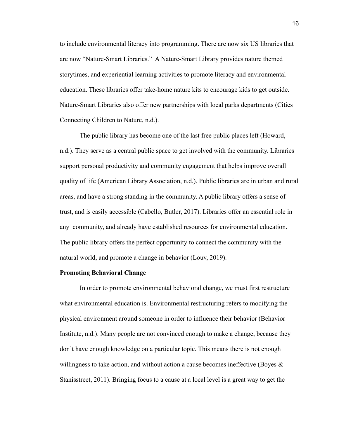to include environmental literacy into programming. There are now six US libraries that are now "Nature-Smart Libraries." A Nature-Smart Library provides nature themed storytimes, and experiential learning activities to promote literacy and environmental education. These libraries offer take-home nature kits to encourage kids to get outside. Nature-Smart Libraries also offer new partnerships with local parks departments (Cities Connecting Children to Nature, n.d.).

The public library has become one of the last free public places left (Howard, n.d.). They serve as a central public space to get involved with the community. Libraries support personal productivity and community engagement that helps improve overall quality of life (American Library Association, n.d.). Public libraries are in urban and rural areas, and have a strong standing in the community. A public library offers a sense of trust, and is easily accessible (Cabello, Butler, 2017). Libraries offer an essential role in any community, and already have established resources for environmental education. The public library offers the perfect opportunity to connect the community with the natural world, and promote a change in behavior (Louv, 2019).

## **Promoting Behavioral Change**

In order to promote environmental behavioral change, we must first restructure what environmental education is. Environmental restructuring refers to modifying the physical environment around someone in order to influence their behavior (Behavior Institute, n.d.). Many people are not convinced enough to make a change, because they don't have enough knowledge on a particular topic. This means there is not enough willingness to take action, and without action a cause becomes ineffective (Boyes  $\&$ Stanisstreet, 2011). Bringing focus to a cause at a local level is a great way to get the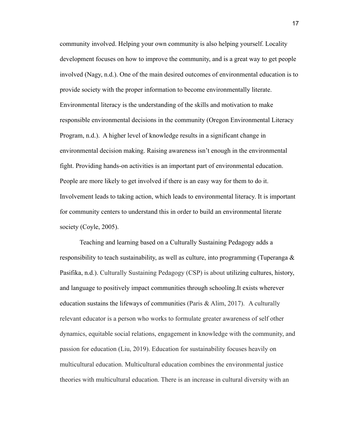community involved. Helping your own community is also helping yourself. Locality development focuses on how to improve the community, and is a great way to get people involved (Nagy, n.d.). One of the main desired outcomes of environmental education is to provide society with the proper information to become environmentally literate. Environmental literacy is the understanding of the skills and motivation to make responsible environmental decisions in the community (Oregon Environmental Literacy Program, n.d.). A higher level of knowledge results in a significant change in environmental decision making. Raising awareness isn't enough in the environmental fight. Providing hands-on activities is an important part of environmental education. People are more likely to get involved if there is an easy way for them to do it. Involvement leads to taking action, which leads to environmental literacy. It is important for community centers to understand this in order to build an environmental literate society (Coyle, 2005).

Teaching and learning based on a Culturally Sustaining Pedagogy adds a responsibility to teach sustainability, as well as culture, into programming (Tuperanga & Pasifika, n.d.). Culturally Sustaining Pedagogy (CSP) is about utilizing cultures, history, and language to positively impact communities through schooling.It exists wherever education sustains the lifeways of communities (Paris & Alim, 2017). A culturally relevant educator is a person who works to formulate greater awareness of self other dynamics, equitable social relations, engagement in knowledge with the community, and passion for education (Liu, 2019). Education for sustainability focuses heavily on multicultural education. Multicultural education combines the environmental justice theories with multicultural education. There is an increase in cultural diversity with an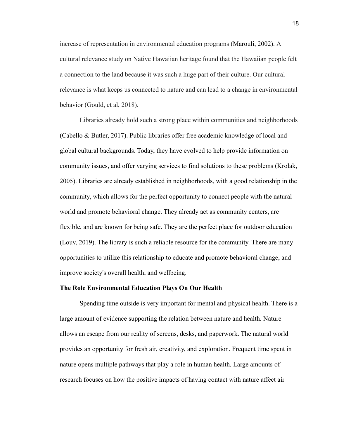increase of representation in environmental education programs (Marouli, 2002). A cultural relevance study on Native Hawaiian heritage found that the Hawaiian people felt a connection to the land because it was such a huge part of their culture. Our cultural relevance is what keeps us connected to nature and can lead to a change in environmental behavior (Gould, et al, 2018).

Libraries already hold such a strong place within communities and neighborhoods (Cabello & Butler, 2017). Public libraries offer free academic knowledge of local and global cultural backgrounds. Today, they have evolved to help provide information on community issues, and offer varying services to find solutions to these problems (Krolak, 2005). Libraries are already established in neighborhoods, with a good relationship in the community, which allows for the perfect opportunity to connect people with the natural world and promote behavioral change. They already act as community centers, are flexible, and are known for being safe. They are the perfect place for outdoor education (Louv, 2019). The library is such a reliable resource for the community. There are many opportunities to utilize this relationship to educate and promote behavioral change, and improve society's overall health, and wellbeing.

#### **The Role Environmental Education Plays On Our Health**

Spending time outside is very important for mental and physical health. There is a large amount of evidence supporting the relation between nature and health. Nature allows an escape from our reality of screens, desks, and paperwork. The natural world provides an opportunity for fresh air, creativity, and exploration. Frequent time spent in nature opens multiple pathways that play a role in human health. Large amounts of research focuses on how the positive impacts of having contact with nature affect air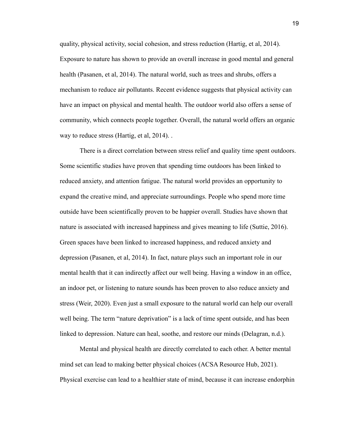quality, physical activity, social cohesion, and stress reduction (Hartig, et al, 2014). Exposure to nature has shown to provide an overall increase in good mental and general health (Pasanen, et al, 2014). The natural world, such as trees and shrubs, offers a mechanism to reduce air pollutants. Recent evidence suggests that physical activity can have an impact on physical and mental health. The outdoor world also offers a sense of community, which connects people together. Overall, the natural world offers an organic way to reduce stress (Hartig, et al, 2014). .

There is a direct correlation between stress relief and quality time spent outdoors. Some scientific studies have proven that spending time outdoors has been linked to reduced anxiety, and attention fatigue. The natural world provides an opportunity to expand the creative mind, and appreciate surroundings. People who spend more time outside have been scientifically proven to be happier overall. Studies have shown that nature is associated with increased happiness and gives meaning to life (Suttie, 2016). Green spaces have been linked to increased happiness, and reduced anxiety and depression (Pasanen, et al, 2014). In fact, nature plays such an important role in our mental health that it can indirectly affect our well being. Having a window in an office, an indoor pet, or listening to nature sounds has been proven to also reduce anxiety and stress (Weir, 2020). Even just a small exposure to the natural world can help our overall well being. The term "nature deprivation" is a lack of time spent outside, and has been linked to depression. Nature can heal, soothe, and restore our minds (Delagran, n.d.).

Mental and physical health are directly correlated to each other. A better mental mind set can lead to making better physical choices (ACSA Resource Hub, 2021). Physical exercise can lead to a healthier state of mind, because it can increase endorphin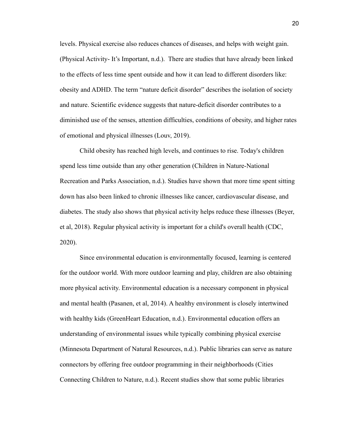levels. Physical exercise also reduces chances of diseases, and helps with weight gain. (Physical Activity- It's Important, n.d.). There are studies that have already been linked to the effects of less time spent outside and how it can lead to different disorders like: obesity and ADHD. The term "nature deficit disorder" describes the isolation of society and nature. Scientific evidence suggests that nature-deficit disorder contributes to a diminished use of the senses, attention difficulties, conditions of obesity, and higher rates of emotional and physical illnesses (Louv, 2019).

Child obesity has reached high levels, and continues to rise. Today's children spend less time outside than any other generation (Children in Nature-National Recreation and Parks Association, n.d.). Studies have shown that more time spent sitting down has also been linked to chronic illnesses like cancer, cardiovascular disease, and diabetes. The study also shows that physical activity helps reduce these illnesses (Beyer, et al, 2018). Regular physical activity is important for a child's overall health (CDC, 2020).

Since environmental education is environmentally focused, learning is centered for the outdoor world. With more outdoor learning and play, children are also obtaining more physical activity. Environmental education is a necessary component in physical and mental health (Pasanen, et al, 2014). A healthy environment is closely intertwined with healthy kids (GreenHeart Education, n.d.). Environmental education offers an understanding of environmental issues while typically combining physical exercise (Minnesota Department of Natural Resources, n.d.). Public libraries can serve as nature connectors by offering free outdoor programming in their neighborhoods (Cities Connecting Children to Nature, n.d.). Recent studies show that some public libraries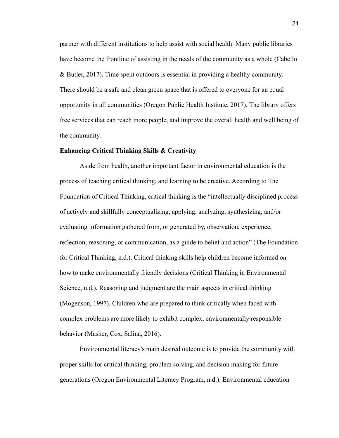partner with different institutions to help assist with social health. Many public libraries have become the frontline of assisting in the needs of the community as a whole (Cabello & Butler, 2017). Time spent outdoors is essential in providing a healthy community. There should be a safe and clean green space that is offered to everyone for an equal opportunity in all communities (Oregon Public Health Institute, 2017). The library offers free services that can reach more people, and improve the overall health and well being of the community.

## **Enhancing Critical Thinking Skills & Creativity**

Aside from health, another important factor in environmental education is the process of teaching critical thinking, and learning to be creative. According to The Foundation of Critical Thinking, critical thinking is the "intellectually disciplined process of actively and skillfully conceptualizing, applying, analyzing, synthesizing, and/or evaluating information gathered from, or generated by, observation, experience, reflection, reasoning, or communication, as a guide to belief and action" (The Foundation for Critical Thinking, n.d.). Critical thinking skills help children become informed on how to make environmentally friendly decisions (Critical Thinking in Environmental Science, n.d.). Reasoning and judgment are the main aspects in critical thinking (Mogenson, 1997). Children who are prepared to think critically when faced with complex problems are more likely to exhibit complex, environmentally responsible behavior (Masher, Cox, Salina, 2016).

Environmental literacy's main desired outcome is to provide the community with proper skills for critical thinking, problem solving, and decision making for future generations (Oregon Environmental Literacy Program, n.d.). Environmental education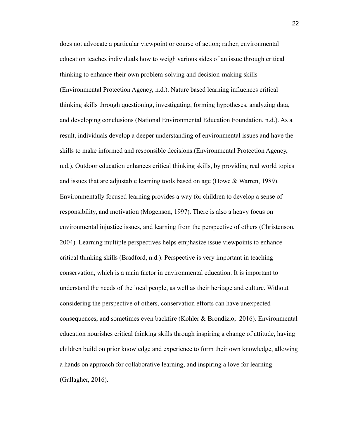does not advocate a particular viewpoint or course of action; rather, environmental education teaches individuals how to weigh various sides of an issue through critical thinking to enhance their own problem-solving and decision-making skills (Environmental Protection Agency, n.d.). Nature based learning influences critical thinking skills through questioning, investigating, forming hypotheses, analyzing data, and developing conclusions (National Environmental Education Foundation, n.d.). As a result, individuals develop a deeper understanding of environmental issues and have the skills to make informed and responsible decisions.(Environmental Protection Agency, n.d.). Outdoor education enhances critical thinking skills, by providing real world topics and issues that are adjustable learning tools based on age (Howe & Warren, 1989). Environmentally focused learning provides a way for children to develop a sense of responsibility, and motivation (Mogenson, 1997). There is also a heavy focus on environmental injustice issues, and learning from the perspective of others (Christenson, 2004). Learning multiple perspectives helps emphasize issue viewpoints to enhance critical thinking skills (Bradford, n.d.). Perspective is very important in teaching conservation, which is a main factor in environmental education. It is important to understand the needs of the local people, as well as their heritage and culture. Without considering the perspective of others, conservation efforts can have unexpected consequences, and sometimes even backfire (Kohler & Brondizio, 2016). Environmental education nourishes critical thinking skills through inspiring a change of attitude, having children build on prior knowledge and experience to form their own knowledge, allowing a hands on approach for collaborative learning, and inspiring a love for learning (Gallagher, 2016).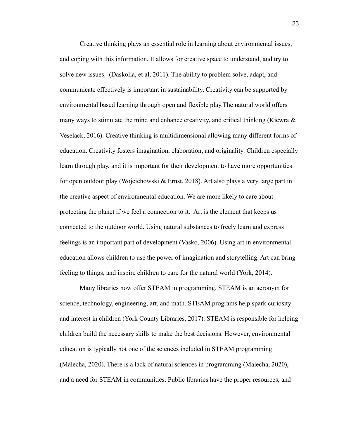Creative thinking plays an essential role in learning about environmental issues, and coping with this information. It allows for creative space to understand, and try to solve new issues. (Daskolia, et al, 2011). The ability to problem solve, adapt, and communicate effectively is important in sustainability. Creativity can be supported by environmental based learning through open and flexible play.The natural world offers many ways to stimulate the mind and enhance creativity, and critical thinking (Kiewra  $\&$ Veselack, 2016). Creative thinking is multidimensional allowing many different forms of education. Creativity fosters imagination, elaboration, and originality. Children especially learn through play, and it is important for their development to have more opportunities for open outdoor play (Wojciehowski & Ernst, 2018). Art also plays a very large part in the creative aspect of environmental education. We are more likely to care about protecting the planet if we feel a connection to it. Art is the element that keeps us connected to the outdoor world. Using natural substances to freely learn and express feelings is an important part of development (Vasko, 2006). Using art in environmental education allows children to use the power of imagination and storytelling. Art can bring feeling to things, and inspire children to care for the natural world (York, 2014).

Many libraries now offer STEAM in programming. STEAM is an acronym for science, technology, engineering, art, and math. STEAM programs help spark curiosity and interest in children (York County Libraries, 2017). STEAM is responsible for helping children build the necessary skills to make the best decisions. However, environmental education is typically not one of the sciences included in STEAM programming (Malecha, 2020). There is a lack of natural sciences in programming (Malecha, 2020), and a need for STEAM in communities. Public libraries have the proper resources, and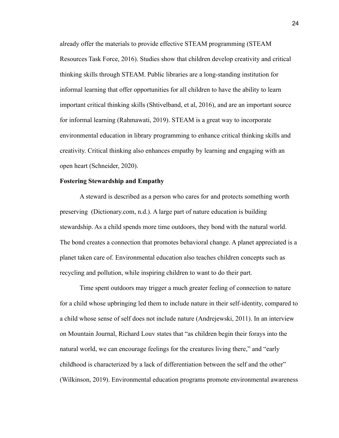already offer the materials to provide effective STEAM programming (STEAM Resources Task Force, 2016). Studies show that children develop creativity and critical thinking skills through STEAM. Public libraries are a long-standing institution for informal learning that offer opportunities for all children to have the ability to learn important critical thinking skills (Shtivelband, et al, 2016), and are an important source for informal learning (Rahmawati, 2019). STEAM is a great way to incorporate environmental education in library programming to enhance critical thinking skills and creativity. Critical thinking also enhances empathy by learning and engaging with an open heart (Schneider, 2020).

#### **Fostering Stewardship and Empathy**

A steward is described as a person who cares for and protects something worth preserving (Dictionary.com, n.d.). A large part of nature education is building stewardship. As a child spends more time outdoors, they bond with the natural world. The bond creates a connection that promotes behavioral change. A planet appreciated is a planet taken care of. Environmental education also teaches children concepts such as recycling and pollution, while inspiring children to want to do their part.

Time spent outdoors may trigger a much greater feeling of connection to nature for a child whose upbringing led them to include nature in their self-identity, compared to a child whose sense of self does not include nature (Andrejewski, 2011). In an interview on Mountain Journal, Richard Louv states that "as children begin their forays into the natural world, we can encourage feelings for the creatures living there," and "early childhood is characterized by a lack of differentiation between the self and the other" (Wilkinson, 2019). Environmental education programs promote environmental awareness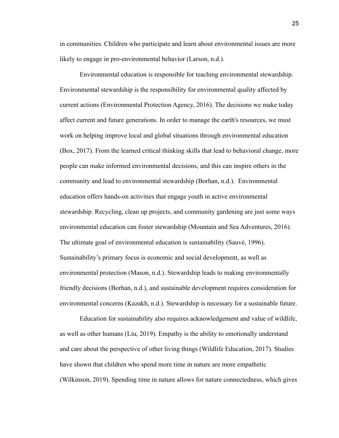in communities. Children who participate and learn about environmental issues are more likely to engage in pro-environmental behavior (Larson, n.d.).

Environmental education is responsible for teaching environmental stewardship. Environmental stewardship is the responsibility for environmental quality affected by current actions (Environmental Protection Agency, 2016). The decisions we make today affect current and future generations. In order to manage the earth's resources, we must work on helping improve local and global situations through environmental education (Box, 2017). From the learned critical thinking skills that lead to behavioral change, more people can make informed environmental decisions, and this can inspire others in the community and lead to environmental stewardship (Borhan, n.d.). Environmental education offers hands-on activities that engage youth in active environmental stewardship. Recycling, clean up projects, and community gardening are just some ways environmental education can foster stewardship (Mountain and Sea Adventures, 2016). The ultimate goal of environmental education is sustainability (Sauvé, 1996). Sustainability's primary focus is economic and social development, as well as environmental protection (Mason, n.d.). Stewardship leads to making environmentally friendly decisions (Borhan, n.d.), and sustainable development requires consideration for environmental concerns (Kazakh, n.d.). Stewardship is necessary for a sustainable future.

Education for sustainability also requires acknowledgement and value of wildlife, as well as other humans (Liu, 2019). Empathy is the ability to emotionally understand and care about the perspective of other living things (Wildlife Education, 2017). Studies have shown that children who spend more time in nature are more empathetic (Wilkinson, 2019). Spending time in nature allows for nature connectedness, which gives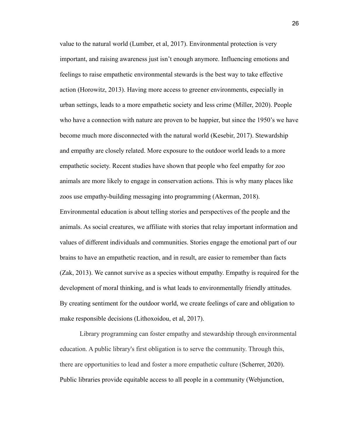value to the natural world (Lumber, et al, 2017). Environmental protection is very important, and raising awareness just isn't enough anymore. Influencing emotions and feelings to raise empathetic environmental stewards is the best way to take effective action (Horowitz, 2013). Having more access to greener environments, especially in urban settings, leads to a more empathetic society and less crime (Miller, 2020). People who have a connection with nature are proven to be happier, but since the 1950's we have become much more disconnected with the natural world (Kesebir, 2017). Stewardship and empathy are closely related. More exposure to the outdoor world leads to a more empathetic society. Recent studies have shown that people who feel empathy for zoo animals are more likely to engage in conservation actions. This is why many places like zoos use empathy-building messaging into programming (Akerman, 2018).

Environmental education is about telling stories and perspectives of the people and the animals. As social creatures, we affiliate with stories that relay important information and values of different individuals and communities. Stories engage the emotional part of our brains to have an empathetic reaction, and in result, are easier to remember than facts (Zak, 2013). We cannot survive as a species without empathy. Empathy is required for the development of moral thinking, and is what leads to environmentally friendly attitudes. By creating sentiment for the outdoor world, we create feelings of care and obligation to make responsible decisions (Lithoxoidou, et al, 2017).

Library programming can foster empathy and stewardship through environmental education. A public library's first obligation is to serve the community. Through this, there are opportunities to lead and foster a more empathetic culture (Scherrer, 2020). Public libraries provide equitable access to all people in a community (Webjunction,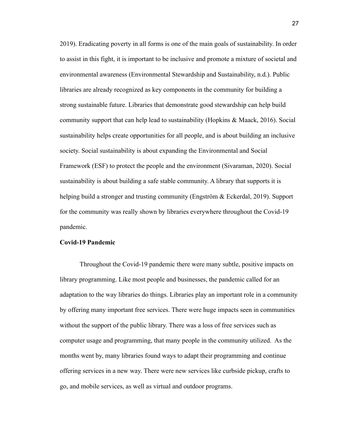2019). Eradicating poverty in all forms is one of the main goals of sustainability. In order to assist in this fight, it is important to be inclusive and promote a mixture of societal and environmental awareness (Environmental Stewardship and Sustainability, n.d.). Public libraries are already recognized as key components in the community for building a strong sustainable future. Libraries that demonstrate good stewardship can help build community support that can help lead to sustainability (Hopkins & Maack, 2016). Social sustainability helps create opportunities for all people, and is about building an inclusive society. Social sustainability is about expanding the Environmental and Social Framework (ESF) to protect the people and the environment (Sivaraman, 2020). Social sustainability is about building a safe stable community. A library that supports it is helping build a stronger and trusting community (Engström & Eckerdal, 2019). Support for the community was really shown by libraries everywhere throughout the Covid-19 pandemic.

## **Covid-19 Pandemic**

Throughout the Covid-19 pandemic there were many subtle, positive impacts on library programming. Like most people and businesses, the pandemic called for an adaptation to the way libraries do things. Libraries play an important role in a community by offering many important free services. There were huge impacts seen in communities without the support of the public library. There was a loss of free services such as computer usage and programming, that many people in the community utilized. As the months went by, many libraries found ways to adapt their programming and continue offering services in a new way. There were new services like curbside pickup, crafts to go, and mobile services, as well as virtual and outdoor programs.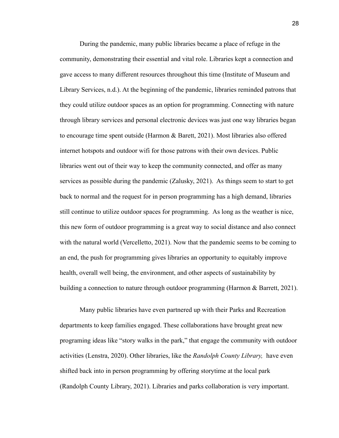During the pandemic, many public libraries became a place of refuge in the community, demonstrating their essential and vital role. Libraries kept a connection and gave access to many different resources throughout this time (Institute of Museum and Library Services, n.d.). At the beginning of the pandemic, libraries reminded patrons that they could utilize outdoor spaces as an option for programming. Connecting with nature through library services and personal electronic devices was just one way libraries began to encourage time spent outside (Harmon & Barett, 2021). Most libraries also offered internet hotspots and outdoor wifi for those patrons with their own devices. Public libraries went out of their way to keep the community connected, and offer as many services as possible during the pandemic (Zalusky, 2021). As things seem to start to get back to normal and the request for in person programming has a high demand, libraries still continue to utilize outdoor spaces for programming. As long as the weather is nice, this new form of outdoor programming is a great way to social distance and also connect with the natural world (Vercelletto, 2021). Now that the pandemic seems to be coming to an end, the push for programming gives libraries an opportunity to equitably improve health, overall well being, the environment, and other aspects of sustainability by building a connection to nature through outdoor programming (Harmon & Barrett, 2021).

Many public libraries have even partnered up with their Parks and Recreation departments to keep families engaged. These collaborations have brought great new programing ideas like "story walks in the park," that engage the community with outdoor activities (Lenstra, 2020). Other libraries, like the *Randolph County Library,* have even shifted back into in person programming by offering storytime at the local park (Randolph County Library, 2021). Libraries and parks collaboration is very important.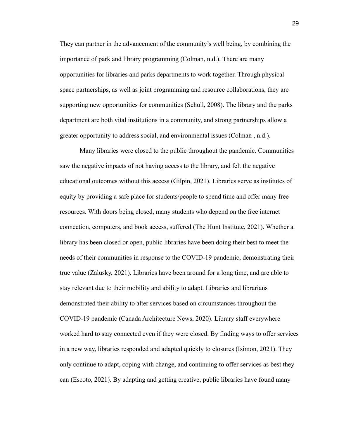They can partner in the advancement of the community's well being, by combining the importance of park and library programming (Colman, n.d.). There are many opportunities for libraries and parks departments to work together. Through physical space partnerships, as well as joint programming and resource collaborations, they are supporting new opportunities for communities (Schull, 2008). The library and the parks department are both vital institutions in a community, and strong partnerships allow a greater opportunity to address social, and environmental issues (Colman , n.d.).

Many libraries were closed to the public throughout the pandemic. Communities saw the negative impacts of not having access to the library, and felt the negative educational outcomes without this access (Gilpin, 2021). Libraries serve as institutes of equity by providing a safe place for students/people to spend time and offer many free resources. With doors being closed, many students who depend on the free internet connection, computers, and book access, suffered (The Hunt Institute, 2021). Whether a library has been closed or open, public libraries have been doing their best to meet the needs of their communities in response to the COVID-19 pandemic, demonstrating their true value (Zalusky, 2021). Libraries have been around for a long time, and are able to stay relevant due to their mobility and ability to adapt. Libraries and librarians demonstrated their ability to alter services based on circumstances throughout the COVID-19 pandemic (Canada Architecture News, 2020). Library staff everywhere worked hard to stay connected even if they were closed. By finding ways to offer services in a new way, libraries responded and adapted quickly to closures (Isimon, 2021). They only continue to adapt, coping with change, and continuing to offer services as best they can (Escoto, 2021). By adapting and getting creative, public libraries have found many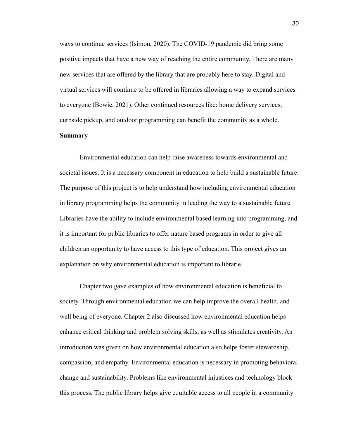ways to continue services (Isimon, 2020). The COVID-19 pandemic did bring some positive impacts that have a new way of reaching the entire community. There are many new services that are offered by the library that are probably here to stay. Digital and virtual services will continue to be offered in libraries allowing a way to expand services to everyone (Bowie, 2021). Other continued resources like: home delivery services, curbside pickup, and outdoor programming can benefit the community as a whole.

## **Summary**

Environmental education can help raise awareness towards environmental and societal issues. It is a necessary component in education to help build a sustainable future. The purpose of this project is to help understand how including environmental education in library programming helps the community in leading the way to a sustainable future. Libraries have the ability to include environmental based learning into programming, and it is important for public libraries to offer nature based programs in order to give all children an opportunity to have access to this type of education. This project gives an explanation on why environmental education is important to librarie.

Chapter two gave examples of how environmental education is beneficial to society. Through environmental education we can help improve the overall health, and well being of everyone. Chapter 2 also discussed how environmental education helps enhance critical thinking and problem solving skills, as well as stimulates creativity. An introduction was given on how environmental education also helps foster stewardship, compassion, and empathy. Environmental education is necessary in promoting behavioral change and sustainability. Problems like environmental injustices and technology block this process. The public library helps give equitable access to all people in a community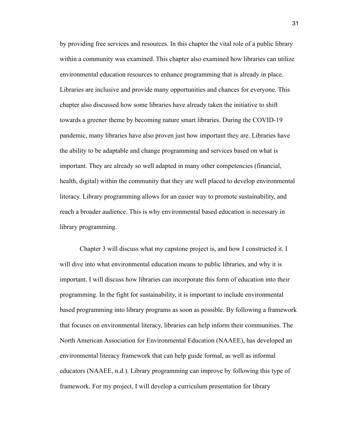by providing free services and resources. In this chapter the vital role of a public library within a community was examined. This chapter also examined how libraries can utilize environmental education resources to enhance programming that is already in place. Libraries are inclusive and provide many opportunities and chances for everyone. This chapter also discussed how some libraries have already taken the initiative to shift towards a greener theme by becoming nature smart libraries. During the COVID-19 pandemic, many libraries have also proven just how important they are. Libraries have the ability to be adaptable and change programming and services based on what is important. They are already so well adapted in many other competencies (financial, health, digital) within the community that they are well placed to develop environmental literacy. Library programming allows for an easier way to promote sustainability, and reach a broader audience. This is why environmental based education is necessary in library programming.

Chapter 3 will discuss what my capstone project is, and how I constructed it. I will dive into what environmental education means to public libraries, and why it is important. I will discuss how libraries can incorporate this form of education into their programming. In the fight for sustainability, it is important to include environmental based programming into library programs as soon as possible. By following a framework that focuses on environmental literacy, libraries can help inform their communities. The North American Association for Environmental Education (NAAEE), has developed an environmental literacy framework that can help guide formal, as well as informal educators (NAAEE, n.d.). Library programming can improve by following this type of framework. For my project, I will develop a curriculum presentation for library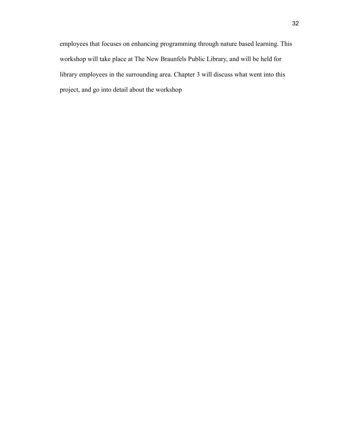employees that focuses on enhancing programming through nature based learning. This workshop will take place at The New Braunfels Public Library, and will be held for library employees in the surrounding area. Chapter 3 will discuss what went into this project, and go into detail about the workshop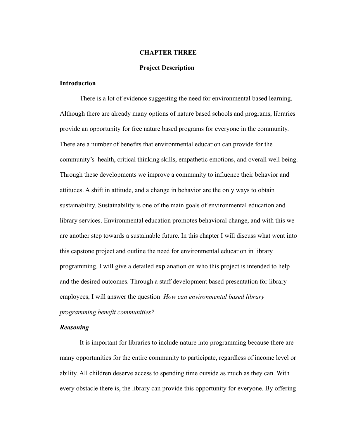#### **CHAPTER THREE**

# **Project Description**

# **Introduction**

There is a lot of evidence suggesting the need for environmental based learning. Although there are already many options of nature based schools and programs, libraries provide an opportunity for free nature based programs for everyone in the community. There are a number of benefits that environmental education can provide for the community's health, critical thinking skills, empathetic emotions, and overall well being. Through these developments we improve a community to influence their behavior and attitudes. A shift in attitude, and a change in behavior are the only ways to obtain sustainability. Sustainability is one of the main goals of environmental education and library services. Environmental education promotes behavioral change, and with this we are another step towards a sustainable future. In this chapter I will discuss what went into this capstone project and outline the need for environmental education in library programming. I will give a detailed explanation on who this project is intended to help and the desired outcomes. Through a staff development based presentation for library employees, I will answer the question *How can environmental based library programming benefit communities?*

# *Reasoning*

It is important for libraries to include nature into programming because there are many opportunities for the entire community to participate, regardless of income level or ability. All children deserve access to spending time outside as much as they can. With every obstacle there is, the library can provide this opportunity for everyone. By offering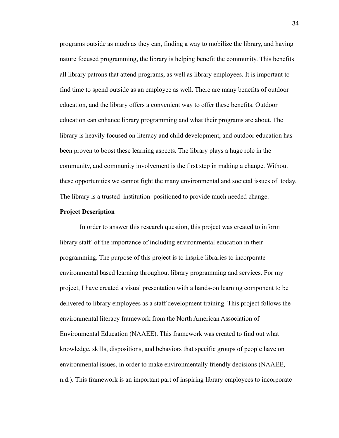programs outside as much as they can, finding a way to mobilize the library, and having nature focused programming, the library is helping benefit the community. This benefits all library patrons that attend programs, as well as library employees. It is important to find time to spend outside as an employee as well. There are many benefits of outdoor education, and the library offers a convenient way to offer these benefits. Outdoor education can enhance library programming and what their programs are about. The library is heavily focused on literacy and child development, and outdoor education has been proven to boost these learning aspects. The library plays a huge role in the community, and community involvement is the first step in making a change. Without these opportunities we cannot fight the many environmental and societal issues of today. The library is a trusted institution positioned to provide much needed change.

#### **Project Description**

In order to answer this research question, this project was created to inform library staff of the importance of including environmental education in their programming. The purpose of this project is to inspire libraries to incorporate environmental based learning throughout library programming and services. For my project, I have created a visual presentation with a hands-on learning component to be delivered to library employees as a staff development training. This project follows the environmental literacy framework from the North American Association of Environmental Education (NAAEE). This framework was created to find out what knowledge, skills, dispositions, and behaviors that specific groups of people have on environmental issues, in order to make environmentally friendly decisions (NAAEE, n.d.). This framework is an important part of inspiring library employees to incorporate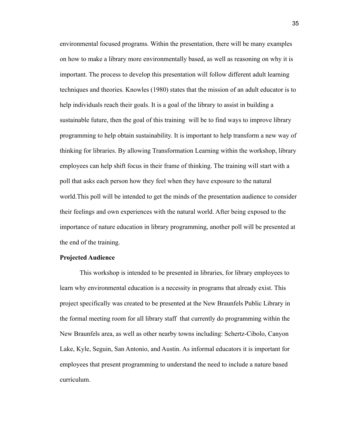environmental focused programs. Within the presentation, there will be many examples on how to make a library more environmentally based, as well as reasoning on why it is important. The process to develop this presentation will follow different adult learning techniques and theories. Knowles (1980) states that the mission of an adult educator is to help individuals reach their goals. It is a goal of the library to assist in building a sustainable future, then the goal of this training will be to find ways to improve library programming to help obtain sustainability. It is important to help transform a new way of thinking for libraries. By allowing Transformation Learning within the workshop, library employees can help shift focus in their frame of thinking. The training will start with a poll that asks each person how they feel when they have exposure to the natural world.This poll will be intended to get the minds of the presentation audience to consider their feelings and own experiences with the natural world. After being exposed to the importance of nature education in library programming, another poll will be presented at the end of the training.

#### **Projected Audience**

This workshop is intended to be presented in libraries, for library employees to learn why environmental education is a necessity in programs that already exist. This project specifically was created to be presented at the New Braunfels Public Library in the formal meeting room for all library staff that currently do programming within the New Braunfels area, as well as other nearby towns including: Schertz-Cibolo, Canyon Lake, Kyle, Seguin, San Antonio, and Austin. As informal educators it is important for employees that present programming to understand the need to include a nature based curriculum.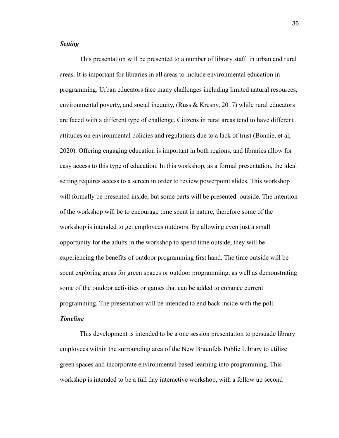# *Setting*

This presentation will be presented to a number of library staff in urban and rural areas. It is important for libraries in all areas to include environmental education in programming. Urban educators face many challenges including limited natural resources, environmental poverty, and social inequity, (Russ  $\&$  Kresny, 2017) while rural educators are faced with a different type of challenge. Citizens in rural areas tend to have different attitudes on environmental policies and regulations due to a lack of trust (Bonnie, et al, 2020). Offering engaging education is important in both regions, and libraries allow for easy access to this type of education. In this workshop, as a formal presentation, the ideal setting requires access to a screen in order to review powerpoint slides. This workshop will formally be presented inside, but some parts will be presented outside. The intention of the workshop will be to encourage time spent in nature, therefore some of the workshop is intended to get employees outdoors. By allowing even just a small opportunity for the adults in the workshop to spend time outside, they will be experiencing the benefits of outdoor programming first hand. The time outside will be spent exploring areas for green spaces or outdoor programming, as well as demonstrating some of the outdoor activities or games that can be added to enhance current programming. The presentation will be intended to end back inside with the poll.

# *Timeline*

This development is intended to be a one session presentation to persuade library employees within the surrounding area of the New Braunfels Public Library to utilize green spaces and incorporate environmental based learning into programming. This workshop is intended to be a full day interactive workshop, with a follow up second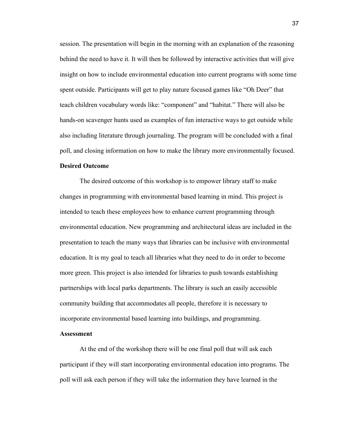session. The presentation will begin in the morning with an explanation of the reasoning behind the need to have it. It will then be followed by interactive activities that will give insight on how to include environmental education into current programs with some time spent outside. Participants will get to play nature focused games like "Oh Deer" that teach children vocabulary words like: "component" and "habitat." There will also be hands-on scavenger hunts used as examples of fun interactive ways to get outside while also including literature through journaling. The program will be concluded with a final poll, and closing information on how to make the library more environmentally focused.

# **Desired Outcome**

The desired outcome of this workshop is to empower library staff to make changes in programming with environmental based learning in mind. This project is intended to teach these employees how to enhance current programming through environmental education. New programming and architectural ideas are included in the presentation to teach the many ways that libraries can be inclusive with environmental education. It is my goal to teach all libraries what they need to do in order to become more green. This project is also intended for libraries to push towards establishing partnerships with local parks departments. The library is such an easily accessible community building that accommodates all people, therefore it is necessary to incorporate environmental based learning into buildings, and programming.

# **Assessment**

At the end of the workshop there will be one final poll that will ask each participant if they will start incorporating environmental education into programs. The poll will ask each person if they will take the information they have learned in the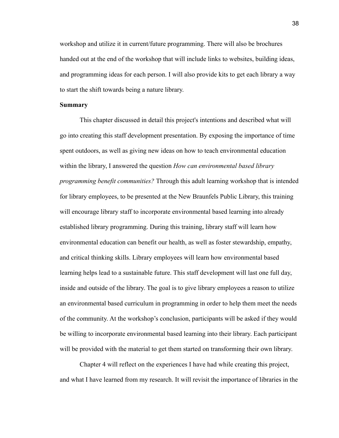workshop and utilize it in current/future programming. There will also be brochures handed out at the end of the workshop that will include links to websites, building ideas, and programming ideas for each person. I will also provide kits to get each library a way to start the shift towards being a nature library.

#### **Summary**

This chapter discussed in detail this project's intentions and described what will go into creating this staff development presentation. By exposing the importance of time spent outdoors, as well as giving new ideas on how to teach environmental education within the library, I answered the question *How can environmental based library programming benefit communities?* Through this adult learning workshop that is intended for library employees, to be presented at the New Braunfels Public Library, this training will encourage library staff to incorporate environmental based learning into already established library programming. During this training, library staff will learn how environmental education can benefit our health, as well as foster stewardship, empathy, and critical thinking skills. Library employees will learn how environmental based learning helps lead to a sustainable future. This staff development will last one full day, inside and outside of the library. The goal is to give library employees a reason to utilize an environmental based curriculum in programming in order to help them meet the needs of the community. At the workshop's conclusion, participants will be asked if they would be willing to incorporate environmental based learning into their library. Each participant will be provided with the material to get them started on transforming their own library.

Chapter 4 will reflect on the experiences I have had while creating this project, and what I have learned from my research. It will revisit the importance of libraries in the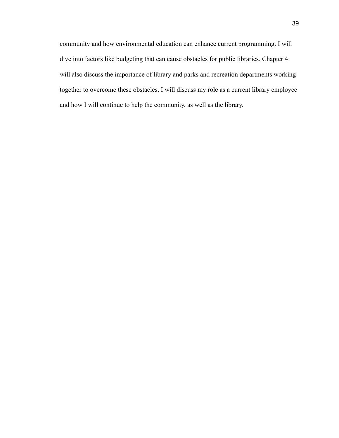community and how environmental education can enhance current programming. I will dive into factors like budgeting that can cause obstacles for public libraries. Chapter 4 will also discuss the importance of library and parks and recreation departments working together to overcome these obstacles. I will discuss my role as a current library employee and how I will continue to help the community, as well as the library.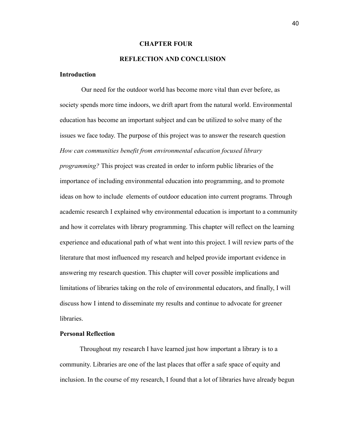#### **CHAPTER FOUR**

# **REFLECTION AND CONCLUSION**

# **Introduction**

Our need for the outdoor world has become more vital than ever before, as society spends more time indoors, we drift apart from the natural world. Environmental education has become an important subject and can be utilized to solve many of the issues we face today. The purpose of this project was to answer the research question *How can communities benefit from environmental education focused library programming?* This project was created in order to inform public libraries of the importance of including environmental education into programming, and to promote ideas on how to include elements of outdoor education into current programs. Through academic research I explained why environmental education is important to a community and how it correlates with library programming. This chapter will reflect on the learning experience and educational path of what went into this project. I will review parts of the literature that most influenced my research and helped provide important evidence in answering my research question. This chapter will cover possible implications and limitations of libraries taking on the role of environmental educators, and finally, I will discuss how I intend to disseminate my results and continue to advocate for greener **libraries** 

### **Personal Reflection**

Throughout my research I have learned just how important a library is to a community. Libraries are one of the last places that offer a safe space of equity and inclusion. In the course of my research, I found that a lot of libraries have already begun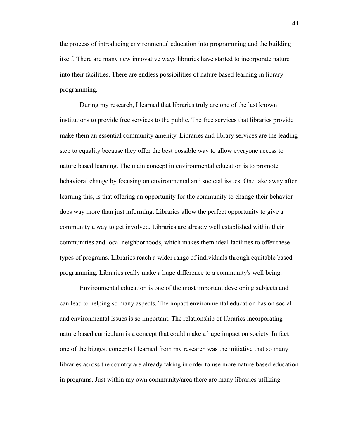the process of introducing environmental education into programming and the building itself. There are many new innovative ways libraries have started to incorporate nature into their facilities. There are endless possibilities of nature based learning in library programming.

During my research, I learned that libraries truly are one of the last known institutions to provide free services to the public. The free services that libraries provide make them an essential community amenity. Libraries and library services are the leading step to equality because they offer the best possible way to allow everyone access to nature based learning. The main concept in environmental education is to promote behavioral change by focusing on environmental and societal issues. One take away after learning this, is that offering an opportunity for the community to change their behavior does way more than just informing. Libraries allow the perfect opportunity to give a community a way to get involved. Libraries are already well established within their communities and local neighborhoods, which makes them ideal facilities to offer these types of programs. Libraries reach a wider range of individuals through equitable based programming. Libraries really make a huge difference to a community's well being.

Environmental education is one of the most important developing subjects and can lead to helping so many aspects. The impact environmental education has on social and environmental issues is so important. The relationship of libraries incorporating nature based curriculum is a concept that could make a huge impact on society. In fact one of the biggest concepts I learned from my research was the initiative that so many libraries across the country are already taking in order to use more nature based education in programs. Just within my own community/area there are many libraries utilizing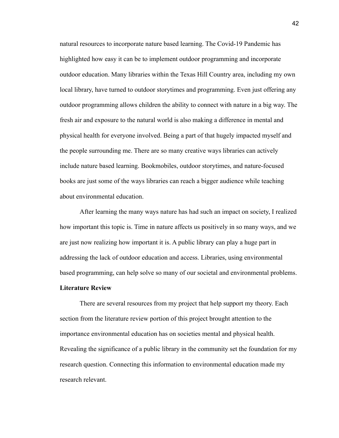natural resources to incorporate nature based learning. The Covid-19 Pandemic has highlighted how easy it can be to implement outdoor programming and incorporate outdoor education. Many libraries within the Texas Hill Country area, including my own local library, have turned to outdoor storytimes and programming. Even just offering any outdoor programming allows children the ability to connect with nature in a big way. The fresh air and exposure to the natural world is also making a difference in mental and physical health for everyone involved. Being a part of that hugely impacted myself and the people surrounding me. There are so many creative ways libraries can actively include nature based learning. Bookmobiles, outdoor storytimes, and nature-focused books are just some of the ways libraries can reach a bigger audience while teaching about environmental education.

After learning the many ways nature has had such an impact on society, I realized how important this topic is. Time in nature affects us positively in so many ways, and we are just now realizing how important it is. A public library can play a huge part in addressing the lack of outdoor education and access. Libraries, using environmental based programming, can help solve so many of our societal and environmental problems.

## **Literature Review**

There are several resources from my project that help support my theory. Each section from the literature review portion of this project brought attention to the importance environmental education has on societies mental and physical health. Revealing the significance of a public library in the community set the foundation for my research question. Connecting this information to environmental education made my research relevant.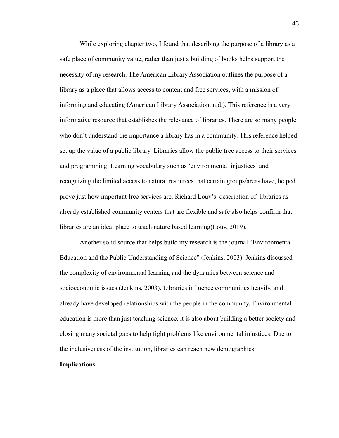While exploring chapter two, I found that describing the purpose of a library as a safe place of community value, rather than just a building of books helps support the necessity of my research. The American Library Association outlines the purpose of a library as a place that allows access to content and free services, with a mission of informing and educating (American Library Association, n.d.). This reference is a very informative resource that establishes the relevance of libraries. There are so many people who don't understand the importance a library has in a community. This reference helped set up the value of a public library. Libraries allow the public free access to their services and programming. Learning vocabulary such as 'environmental injustices' and recognizing the limited access to natural resources that certain groups/areas have, helped prove just how important free services are. Richard Louv's description of libraries as already established community centers that are flexible and safe also helps confirm that libraries are an ideal place to teach nature based learning(Louv, 2019).

Another solid source that helps build my research is the journal "Environmental Education and the Public Understanding of Science" (Jenkins, 2003). Jenkins discussed the complexity of environmental learning and the dynamics between science and socioeconomic issues (Jenkins, 2003). Libraries influence communities heavily, and already have developed relationships with the people in the community. Environmental education is more than just teaching science, it is also about building a better society and closing many societal gaps to help fight problems like environmental injustices. Due to the inclusiveness of the institution, libraries can reach new demographics.

# **Implications**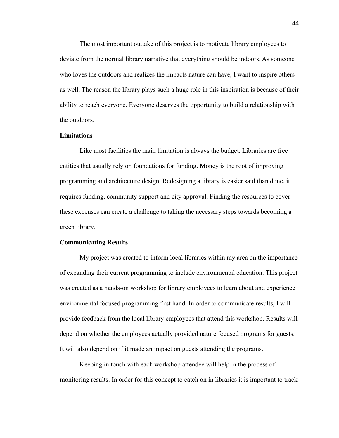The most important outtake of this project is to motivate library employees to deviate from the normal library narrative that everything should be indoors. As someone who loves the outdoors and realizes the impacts nature can have, I want to inspire others as well. The reason the library plays such a huge role in this inspiration is because of their ability to reach everyone. Everyone deserves the opportunity to build a relationship with the outdoors.

#### **Limitations**

Like most facilities the main limitation is always the budget. Libraries are free entities that usually rely on foundations for funding. Money is the root of improving programming and architecture design. Redesigning a library is easier said than done, it requires funding, community support and city approval. Finding the resources to cover these expenses can create a challenge to taking the necessary steps towards becoming a green library.

#### **Communicating Results**

My project was created to inform local libraries within my area on the importance of expanding their current programming to include environmental education. This project was created as a hands-on workshop for library employees to learn about and experience environmental focused programming first hand. In order to communicate results, I will provide feedback from the local library employees that attend this workshop. Results will depend on whether the employees actually provided nature focused programs for guests. It will also depend on if it made an impact on guests attending the programs.

Keeping in touch with each workshop attendee will help in the process of monitoring results. In order for this concept to catch on in libraries it is important to track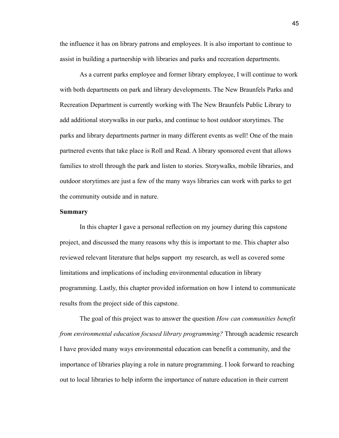the influence it has on library patrons and employees. It is also important to continue to assist in building a partnership with libraries and parks and recreation departments.

As a current parks employee and former library employee, I will continue to work with both departments on park and library developments. The New Braunfels Parks and Recreation Department is currently working with The New Braunfels Public Library to add additional storywalks in our parks, and continue to host outdoor storytimes. The parks and library departments partner in many different events as well! One of the main partnered events that take place is Roll and Read. A library sponsored event that allows families to stroll through the park and listen to stories. Storywalks, mobile libraries, and outdoor storytimes are just a few of the many ways libraries can work with parks to get the community outside and in nature.

## **Summary**

In this chapter I gave a personal reflection on my journey during this capstone project, and discussed the many reasons why this is important to me. This chapter also reviewed relevant literature that helps support my research, as well as covered some limitations and implications of including environmental education in library programming. Lastly, this chapter provided information on how I intend to communicate results from the project side of this capstone.

The goal of this project was to answer the question *How can communities benefit from environmental education focused library programming?* Through academic research I have provided many ways environmental education can benefit a community, and the importance of libraries playing a role in nature programming. I look forward to reaching out to local libraries to help inform the importance of nature education in their current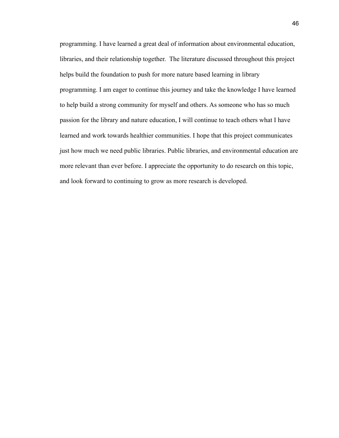programming. I have learned a great deal of information about environmental education, libraries, and their relationship together. The literature discussed throughout this project helps build the foundation to push for more nature based learning in library programming. I am eager to continue this journey and take the knowledge I have learned to help build a strong community for myself and others. As someone who has so much passion for the library and nature education, I will continue to teach others what I have learned and work towards healthier communities. I hope that this project communicates just how much we need public libraries. Public libraries, and environmental education are more relevant than ever before. I appreciate the opportunity to do research on this topic, and look forward to continuing to grow as more research is developed.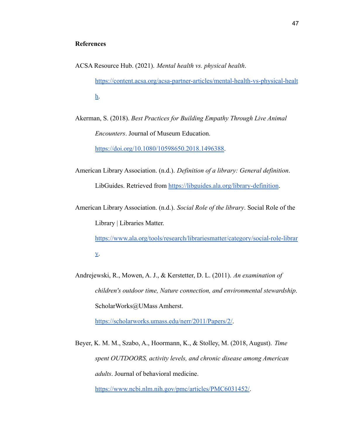## **References**

ACSA Resource Hub. (2021). *Mental health vs. physical health*. [https://content.acsa.org/acsa-partner-articles/mental-health-vs-physical-healt](https://content.acsa.org/acsa-partner-articles/mental-health-vs-physical-health) [h.](https://content.acsa.org/acsa-partner-articles/mental-health-vs-physical-health)

Akerman, S. (2018). *Best Practices for Building Empathy Through Live Animal Encounters*. Journal of Museum Education.

[https://doi.org/10.1080/10598650.2018.1496388.](https://doi.org/10.1080/10598650.2018.1496388)

American Library Association. (n.d.). *Definition of a library: General definition*. LibGuides. Retrieved from <https://libguides.ala.org/library-definition>.

American Library Association. (n.d.). *Social Role of the library*. Social Role of the Library | Libraries Matter.

[https://www.ala.org/tools/research/librariesmatter/category/social-role-librar](https://www.ala.org/tools/research/librariesmatter/category/social-role-library) [y.](https://www.ala.org/tools/research/librariesmatter/category/social-role-library)

Andrejewski, R., Mowen, A. J., & Kerstetter, D. L. (2011). *An examination of children's outdoor time, Nature connection, and environmental stewardship*. ScholarWorks@UMass Amherst.

[https://scholarworks.umass.edu/nerr/2011/Papers/2/.](https://scholarworks.umass.edu/nerr/2011/Papers/2/)

Beyer, K. M. M., Szabo, A., Hoormann, K., & Stolley, M. (2018, August). *Time spent OUTDOORS, activity levels, and chronic disease among American adults*. Journal of behavioral medicine.

[https://www.ncbi.nlm.nih.gov/pmc/articles/PMC6031452/.](https://www.ncbi.nlm.nih.gov/pmc/articles/PMC6031452/)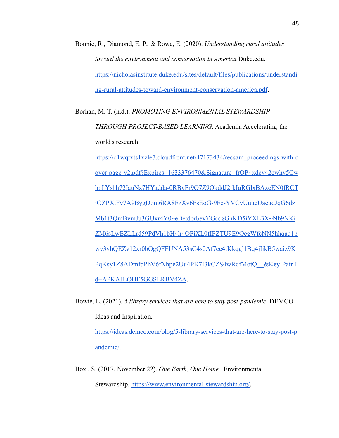- Bonnie, R., Diamond, E. P., & Rowe, E. (2020). *Understanding rural attitudes toward the environment and conservation in America.*Duke.edu. [https://nicholasinstitute.duke.edu/sites/default/files/publications/understandi](https://nicholasinstitute.duke.edu/sites/default/files/publications/understanding-rural-attitudes-toward-environment-conservation-america.pdf) [ng-rural-attitudes-toward-environment-conservation-america.pdf](https://nicholasinstitute.duke.edu/sites/default/files/publications/understanding-rural-attitudes-toward-environment-conservation-america.pdf).
- Borhan, M. T. (n.d.). *PROMOTING ENVIRONMENTAL STEWARDSHIP THROUGH PROJECT-BASED LEARNING*. Academia Accelerating the world's research.

[https://d1wqtxts1xzle7.cloudfront.net/47173434/recsam\\_proceedings-with-c](https://d1wqtxts1xzle7.cloudfront.net/47173434/recsam_proceedings-with-cover-page-v2.pdf?Expires=1633376470&Signature=frQP~xdcv42ewhv5CwhpLYshh72IauNz7HYudda-0RBvFr9O7Z9OkddJ2rkIqRGlxBAxcEN0fRCTjOZPXtFv7A9BygDom6RA8FzXv6FsEoG-9Fe-YVCvUuucUaeudJqG6dzMb1t3QmBymJu3GUxr4Y0~eBetdorbeyYGccgGnKD5iYXL3X~Nb9NKiZM6sLwEZLLrd59PdVh1bH4h~OFjXL0fIFZTU9E9OegWfcNN5hhqaq1pwv3vhQEZv12xr0bOgQFFUNA53sC4s0Af7ce4tKkqgl1Bq4jIjkB5waiz9KPqKsy1Z8ADmfdPhV6fXhpe2Uu4PK7I3kCZS4wRdfMotQ__&Key-Pair-Id=APKAJLOHF5GGSLRBV4ZA) [over-page-v2.pdf?Expires=1633376470&Signature=frQP~xdcv42ewhv5Cw](https://d1wqtxts1xzle7.cloudfront.net/47173434/recsam_proceedings-with-cover-page-v2.pdf?Expires=1633376470&Signature=frQP~xdcv42ewhv5CwhpLYshh72IauNz7HYudda-0RBvFr9O7Z9OkddJ2rkIqRGlxBAxcEN0fRCTjOZPXtFv7A9BygDom6RA8FzXv6FsEoG-9Fe-YVCvUuucUaeudJqG6dzMb1t3QmBymJu3GUxr4Y0~eBetdorbeyYGccgGnKD5iYXL3X~Nb9NKiZM6sLwEZLLrd59PdVh1bH4h~OFjXL0fIFZTU9E9OegWfcNN5hhqaq1pwv3vhQEZv12xr0bOgQFFUNA53sC4s0Af7ce4tKkqgl1Bq4jIjkB5waiz9KPqKsy1Z8ADmfdPhV6fXhpe2Uu4PK7I3kCZS4wRdfMotQ__&Key-Pair-Id=APKAJLOHF5GGSLRBV4ZA) [hpLYshh72IauNz7HYudda-0RBvFr9O7Z9OkddJ2rkIqRGlxBAxcEN0fRCT](https://d1wqtxts1xzle7.cloudfront.net/47173434/recsam_proceedings-with-cover-page-v2.pdf?Expires=1633376470&Signature=frQP~xdcv42ewhv5CwhpLYshh72IauNz7HYudda-0RBvFr9O7Z9OkddJ2rkIqRGlxBAxcEN0fRCTjOZPXtFv7A9BygDom6RA8FzXv6FsEoG-9Fe-YVCvUuucUaeudJqG6dzMb1t3QmBymJu3GUxr4Y0~eBetdorbeyYGccgGnKD5iYXL3X~Nb9NKiZM6sLwEZLLrd59PdVh1bH4h~OFjXL0fIFZTU9E9OegWfcNN5hhqaq1pwv3vhQEZv12xr0bOgQFFUNA53sC4s0Af7ce4tKkqgl1Bq4jIjkB5waiz9KPqKsy1Z8ADmfdPhV6fXhpe2Uu4PK7I3kCZS4wRdfMotQ__&Key-Pair-Id=APKAJLOHF5GGSLRBV4ZA) [jOZPXtFv7A9BygDom6RA8FzXv6FsEoG-9Fe-YVCvUuucUaeudJqG6dz](https://d1wqtxts1xzle7.cloudfront.net/47173434/recsam_proceedings-with-cover-page-v2.pdf?Expires=1633376470&Signature=frQP~xdcv42ewhv5CwhpLYshh72IauNz7HYudda-0RBvFr9O7Z9OkddJ2rkIqRGlxBAxcEN0fRCTjOZPXtFv7A9BygDom6RA8FzXv6FsEoG-9Fe-YVCvUuucUaeudJqG6dzMb1t3QmBymJu3GUxr4Y0~eBetdorbeyYGccgGnKD5iYXL3X~Nb9NKiZM6sLwEZLLrd59PdVh1bH4h~OFjXL0fIFZTU9E9OegWfcNN5hhqaq1pwv3vhQEZv12xr0bOgQFFUNA53sC4s0Af7ce4tKkqgl1Bq4jIjkB5waiz9KPqKsy1Z8ADmfdPhV6fXhpe2Uu4PK7I3kCZS4wRdfMotQ__&Key-Pair-Id=APKAJLOHF5GGSLRBV4ZA) [Mb1t3QmBymJu3GUxr4Y0~eBetdorbeyYGccgGnKD5iYXL3X~Nb9NKi](https://d1wqtxts1xzle7.cloudfront.net/47173434/recsam_proceedings-with-cover-page-v2.pdf?Expires=1633376470&Signature=frQP~xdcv42ewhv5CwhpLYshh72IauNz7HYudda-0RBvFr9O7Z9OkddJ2rkIqRGlxBAxcEN0fRCTjOZPXtFv7A9BygDom6RA8FzXv6FsEoG-9Fe-YVCvUuucUaeudJqG6dzMb1t3QmBymJu3GUxr4Y0~eBetdorbeyYGccgGnKD5iYXL3X~Nb9NKiZM6sLwEZLLrd59PdVh1bH4h~OFjXL0fIFZTU9E9OegWfcNN5hhqaq1pwv3vhQEZv12xr0bOgQFFUNA53sC4s0Af7ce4tKkqgl1Bq4jIjkB5waiz9KPqKsy1Z8ADmfdPhV6fXhpe2Uu4PK7I3kCZS4wRdfMotQ__&Key-Pair-Id=APKAJLOHF5GGSLRBV4ZA) [ZM6sLwEZLLrd59PdVh1bH4h~OFjXL0fIFZTU9E9OegWfcNN5hhqaq1p](https://d1wqtxts1xzle7.cloudfront.net/47173434/recsam_proceedings-with-cover-page-v2.pdf?Expires=1633376470&Signature=frQP~xdcv42ewhv5CwhpLYshh72IauNz7HYudda-0RBvFr9O7Z9OkddJ2rkIqRGlxBAxcEN0fRCTjOZPXtFv7A9BygDom6RA8FzXv6FsEoG-9Fe-YVCvUuucUaeudJqG6dzMb1t3QmBymJu3GUxr4Y0~eBetdorbeyYGccgGnKD5iYXL3X~Nb9NKiZM6sLwEZLLrd59PdVh1bH4h~OFjXL0fIFZTU9E9OegWfcNN5hhqaq1pwv3vhQEZv12xr0bOgQFFUNA53sC4s0Af7ce4tKkqgl1Bq4jIjkB5waiz9KPqKsy1Z8ADmfdPhV6fXhpe2Uu4PK7I3kCZS4wRdfMotQ__&Key-Pair-Id=APKAJLOHF5GGSLRBV4ZA) [wv3vhQEZv12xr0bOgQFFUNA53sC4s0Af7ce4tKkqgl1Bq4jIjkB5waiz9K](https://d1wqtxts1xzle7.cloudfront.net/47173434/recsam_proceedings-with-cover-page-v2.pdf?Expires=1633376470&Signature=frQP~xdcv42ewhv5CwhpLYshh72IauNz7HYudda-0RBvFr9O7Z9OkddJ2rkIqRGlxBAxcEN0fRCTjOZPXtFv7A9BygDom6RA8FzXv6FsEoG-9Fe-YVCvUuucUaeudJqG6dzMb1t3QmBymJu3GUxr4Y0~eBetdorbeyYGccgGnKD5iYXL3X~Nb9NKiZM6sLwEZLLrd59PdVh1bH4h~OFjXL0fIFZTU9E9OegWfcNN5hhqaq1pwv3vhQEZv12xr0bOgQFFUNA53sC4s0Af7ce4tKkqgl1Bq4jIjkB5waiz9KPqKsy1Z8ADmfdPhV6fXhpe2Uu4PK7I3kCZS4wRdfMotQ__&Key-Pair-Id=APKAJLOHF5GGSLRBV4ZA) [PqKsy1Z8ADmfdPhV6fXhpe2Uu4PK7I3kCZS4wRdfMotQ\\_\\_&Key-Pair-I](https://d1wqtxts1xzle7.cloudfront.net/47173434/recsam_proceedings-with-cover-page-v2.pdf?Expires=1633376470&Signature=frQP~xdcv42ewhv5CwhpLYshh72IauNz7HYudda-0RBvFr9O7Z9OkddJ2rkIqRGlxBAxcEN0fRCTjOZPXtFv7A9BygDom6RA8FzXv6FsEoG-9Fe-YVCvUuucUaeudJqG6dzMb1t3QmBymJu3GUxr4Y0~eBetdorbeyYGccgGnKD5iYXL3X~Nb9NKiZM6sLwEZLLrd59PdVh1bH4h~OFjXL0fIFZTU9E9OegWfcNN5hhqaq1pwv3vhQEZv12xr0bOgQFFUNA53sC4s0Af7ce4tKkqgl1Bq4jIjkB5waiz9KPqKsy1Z8ADmfdPhV6fXhpe2Uu4PK7I3kCZS4wRdfMotQ__&Key-Pair-Id=APKAJLOHF5GGSLRBV4ZA) [d=APKAJLOHF5GGSLRBV4ZA](https://d1wqtxts1xzle7.cloudfront.net/47173434/recsam_proceedings-with-cover-page-v2.pdf?Expires=1633376470&Signature=frQP~xdcv42ewhv5CwhpLYshh72IauNz7HYudda-0RBvFr9O7Z9OkddJ2rkIqRGlxBAxcEN0fRCTjOZPXtFv7A9BygDom6RA8FzXv6FsEoG-9Fe-YVCvUuucUaeudJqG6dzMb1t3QmBymJu3GUxr4Y0~eBetdorbeyYGccgGnKD5iYXL3X~Nb9NKiZM6sLwEZLLrd59PdVh1bH4h~OFjXL0fIFZTU9E9OegWfcNN5hhqaq1pwv3vhQEZv12xr0bOgQFFUNA53sC4s0Af7ce4tKkqgl1Bq4jIjkB5waiz9KPqKsy1Z8ADmfdPhV6fXhpe2Uu4PK7I3kCZS4wRdfMotQ__&Key-Pair-Id=APKAJLOHF5GGSLRBV4ZA).

Bowie, L. (2021). *5 library services that are here to stay post-pandemic*. DEMCO Ideas and Inspiration.

[https://ideas.demco.com/blog/5-library-services-that-are-here-to-stay-post-p](https://ideas.demco.com/blog/5-library-services-that-are-here-to-stay-post-pandemic/) [andemic/.](https://ideas.demco.com/blog/5-library-services-that-are-here-to-stay-post-pandemic/)

Box , S. (2017, November 22). *One Earth, One Home* . Environmental Stewardship. <https://www.environmental-stewardship.org/>.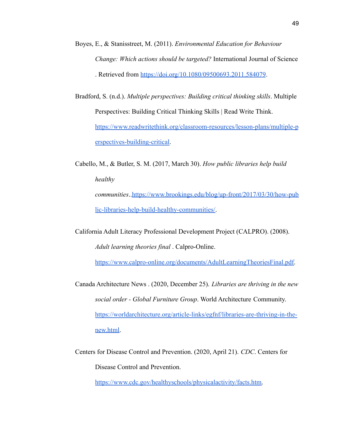- Boyes, E., & Stanisstreet, M. (2011). *Environmental Education for Behaviour Change: Which actions should be targeted?* International Journal of Science . Retrieved from <https://doi.org/10.1080/09500693.2011.584079>.
- Bradford, S. (n.d.). *Multiple perspectives: Building critical thinking skills*. Multiple Perspectives: Building Critical Thinking Skills | Read Write Think. [https://www.readwritethink.org/classroom-resources/lesson-plans/multiple-p](https://www.readwritethink.org/classroom-resources/lesson-plans/multiple-perspectives-building-critical) [erspectives-building-critical](https://www.readwritethink.org/classroom-resources/lesson-plans/multiple-perspectives-building-critical).
- Cabello, M., & Butler, S. M. (2017, March 30). *How public libraries help build healthy communities*.[.https://www.brookings.edu/blog/up-front/2017/03/30/how-pub](https://www.brookings.edu/blog/up-front/2017/03/30/how-public-libraries-help-build-healthy-communities/) [lic-libraries-help-build-healthy-communities/](https://www.brookings.edu/blog/up-front/2017/03/30/how-public-libraries-help-build-healthy-communities/).
- California Adult Literacy Professional Development Project (CALPRO). (2008). *Adult learning theories final* . Calpro-Online.

<https://www.calpro-online.org/documents/AdultLearningTheoriesFinal.pdf>.

- Canada Architecture News . (2020, December 25). *Libraries are thriving in the new social order - Global Furniture Group*. World Architecture Community. [https://worldarchitecture.org/article-links/egfnf/libraries-are-thriving-in-the](https://worldarchitecture.org/article-links/egfnf/libraries-are-thriving-in-the-new.html)[new.html.](https://worldarchitecture.org/article-links/egfnf/libraries-are-thriving-in-the-new.html)
- Centers for Disease Control and Prevention. (2020, April 21). *CDC*. Centers for Disease Control and Prevention.

[https://www.cdc.gov/healthyschools/physicalactivity/facts.htm.](https://www.cdc.gov/healthyschools/physicalactivity/facts.htm)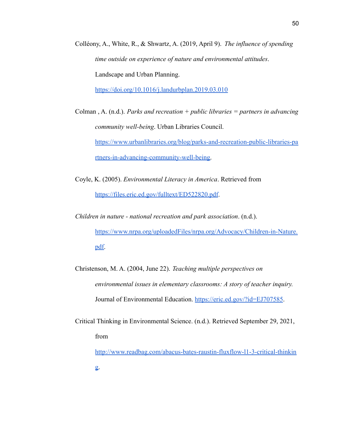Colléony, A., White, R., & Shwartz, A. (2019, April 9). *The influence of spending time outside on experience of nature and environmental attitudes*. Landscape and Urban Planning.

<https://doi.org/10.1016/j.landurbplan.2019.03.010>

Colman , A. (n.d.). *Parks and recreation + public libraries = partners in advancing community well-being*. Urban Libraries Council. [https://www.urbanlibraries.org/blog/parks-and-recreation-public-libraries-pa](https://www.urbanlibraries.org/blog/parks-and-recreation-public-libraries-partners-in-advancing-community-well-being) [rtners-in-advancing-community-well-being.](https://www.urbanlibraries.org/blog/parks-and-recreation-public-libraries-partners-in-advancing-community-well-being)

- Coyle, K. (2005). *Environmental Literacy in America*. Retrieved from <https://files.eric.ed.gov/fulltext/ED522820.pdf>.
- *Children in nature national recreation and park association*. (n.d.). [https://www.nrpa.org/uploadedFiles/nrpa.org/Advocacy/Children-in-Nature.](https://www.nrpa.org/uploadedFiles/nrpa.org/Advocacy/Children-in-Nature.pdf) [pdf.](https://www.nrpa.org/uploadedFiles/nrpa.org/Advocacy/Children-in-Nature.pdf)
- Christenson, M. A. (2004, June 22). *Teaching multiple perspectives on environmental issues in elementary classrooms: A story of teacher inquiry.* Journal of Environmental Education. <https://eric.ed.gov/?id=EJ707585>.
- Critical Thinking in Environmental Science. (n.d.). Retrieved September 29, 2021, from

[http://www.readbag.com/abacus-bates-raustin-fluxflow-l1-3-critical-thinkin](http://www.readbag.com/abacus-bates-raustin-fluxflow-l1-3-critical-thinking)

[g.](http://www.readbag.com/abacus-bates-raustin-fluxflow-l1-3-critical-thinking)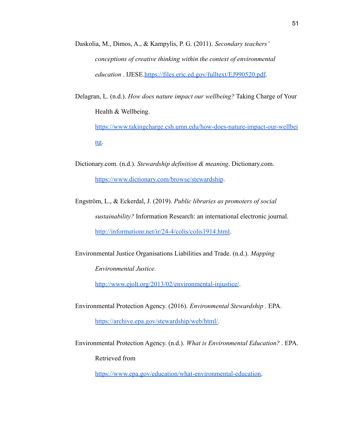- Daskolia, M., Dimos, A., & Kampylis, P. G. (2011). *Secondary teachers' conceptions of creative thinking within the context of environmental education* . IJESE[.https://files.eric.ed.gov/fulltext/EJ990520.pdf.](https://files.eric.ed.gov/fulltext/EJ990520.pdf)
- Delagran, L. (n.d.). *How does nature impact our wellbeing?* Taking Charge of Your Health & Wellbeing.

[https://www.takingcharge.csh.umn.edu/how-does-nature-impact-our-wellbei](https://www.takingcharge.csh.umn.edu/how-does-nature-impact-our-wellbeing) [ng.](https://www.takingcharge.csh.umn.edu/how-does-nature-impact-our-wellbeing)

- Dictionary.com. (n.d.). *Stewardship definition & meaning*. Dictionary.com. <https://www.dictionary.com/browse/stewardship>.
- Engström, L., & Eckerdal, J. (2019). *Public libraries as promoters of social sustainability?* Information Research: an international electronic journal. <http://informationr.net/ir/24-4/colis/colis1914.html>.

Environmental Justice Organisations Liabilities and Trade. (n.d.). *Mapping*

*Environmental Justice.*

<http://www.ejolt.org/2013/02/environmental-injustice/>.

Environmental Protection Agency. (2016). *Environmental Stewardship* . EPA.

[https://archive.epa.gov/stewardship/web/html/.](https://archive.epa.gov/stewardship/web/html/)

Environmental Protection Agency. (n.d.). *What is Environmental Education?* . EPA. Retrieved from

[https://www.epa.gov/education/what-environmental-education.](https://www.epa.gov/education/what-environmental-education)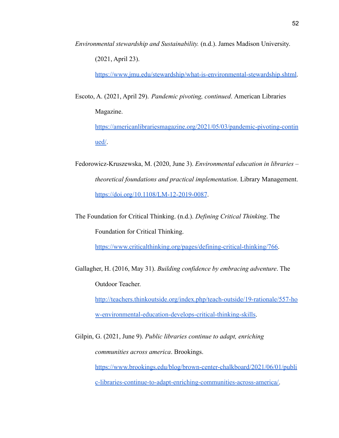*Environmental stewardship and Sustainability.* (n.d.). James Madison University. (2021, April 23).

[https://www.jmu.edu/stewardship/what-is-environmental-stewardship.shtml.](https://www.jmu.edu/stewardship/what-is-environmental-stewardship.shtml)

Escoto, A. (2021, April 29). *Pandemic pivoting, continued*. American Libraries Magazine.

[https://americanlibrariesmagazine.org/2021/05/03/pandemic-pivoting-contin](https://americanlibrariesmagazine.org/2021/05/03/pandemic-pivoting-continued/) [ued/](https://americanlibrariesmagazine.org/2021/05/03/pandemic-pivoting-continued/).

- Fedorowicz-Kruszewska, M. (2020, June 3). *Environmental education in libraries – theoretical foundations and practical implementation*. Library Management. <https://doi.org/10.1108/LM-12-2019-0087>.
- The Foundation for Critical Thinking. (n.d.). *Defining Critical Thinking*. The Foundation for Critical Thinking.

<https://www.criticalthinking.org/pages/defining-critical-thinking/766>.

Gallagher, H. (2016, May 31). *Building confidence by embracing adventure*. The Outdoor Teacher.

[http://teachers.thinkoutside.org/index.php/teach-outside/19-rationale/557-ho](http://teachers.thinkoutside.org/index.php/teach-outside/19-rationale/557-how-environmental-education-develops-critical-thinking-skills) [w-environmental-education-develops-critical-thinking-skills.](http://teachers.thinkoutside.org/index.php/teach-outside/19-rationale/557-how-environmental-education-develops-critical-thinking-skills)

Gilpin, G. (2021, June 9). *Public libraries continue to adapt, enriching communities across america*. Brookings. [https://www.brookings.edu/blog/brown-center-chalkboard/2021/06/01/publi](https://www.brookings.edu/blog/brown-center-chalkboard/2021/06/01/public-libraries-continue-to-adapt-enriching-communities-across-america/) [c-libraries-continue-to-adapt-enriching-communities-across-america/.](https://www.brookings.edu/blog/brown-center-chalkboard/2021/06/01/public-libraries-continue-to-adapt-enriching-communities-across-america/)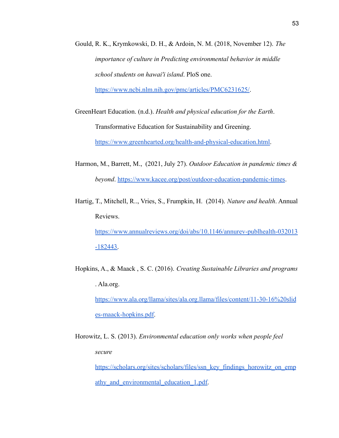Gould, R. K., Krymkowski, D. H., & Ardoin, N. M. (2018, November 12). *The importance of culture in Predicting environmental behavior in middle school students on hawai'i island*. PloS one.

[https://www.ncbi.nlm.nih.gov/pmc/articles/PMC6231625/.](https://www.ncbi.nlm.nih.gov/pmc/articles/PMC6231625/)

GreenHeart Education. (n.d.). *Health and physical education for the Earth*. Transformative Education for Sustainability and Greening. [https://www.greenhearted.org/health-and-physical-education.html.](https://www.greenhearted.org/health-and-physical-education.html)

- Harmon, M., Barrett, M., (2021, July 27). *Outdoor Education in pandemic times & beyond*. <https://www.kacee.org/post/outdoor-education-pandemic-times>.
- Hartig, T., Mitchell, R.., Vries, S., Frumpkin, H. (2014). *Nature and health*. Annual Reviews.

[https://www.annualreviews.org/doi/abs/10.1146/annurev-publhealth-032013](https://www.annualreviews.org/doi/abs/10.1146/annurev-publhealth-032013-182443) [-182443.](https://www.annualreviews.org/doi/abs/10.1146/annurev-publhealth-032013-182443)

Hopkins, A., & Maack , S. C. (2016). *Creating Sustainable Libraries and programs* . Ala.org. [https://www.ala.org/llama/sites/ala.org.llama/files/content/11-30-16%20slid](https://www.ala.org/llama/sites/ala.org.llama/files/content/11-30-16%20slides-maack-hopkins.pdf)

[es-maack-hopkins.pdf](https://www.ala.org/llama/sites/ala.org.llama/files/content/11-30-16%20slides-maack-hopkins.pdf).

Horowitz, L. S. (2013). *Environmental education only works when people feel secure* [https://scholars.org/sites/scholars/files/ssn\\_key\\_findings\\_horowitz\\_on\\_emp](https://scholars.org/sites/scholars/files/ssn_key_findings_horowitz_on_empathy_and_environmental_education_1.pdf)

athy and environmental education 1.pdf.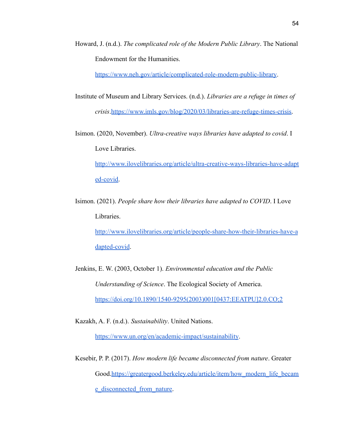Howard, J. (n.d.). *The complicated role of the Modern Public Library*. The National Endowment for the Humanities.

<https://www.neh.gov/article/complicated-role-modern-public-library>.

- Institute of Museum and Library Services. (n.d.). *Libraries are a refuge in times of crisis*.[https://www.imls.gov/blog/2020/03/libraries-are-refuge-times-crisis.](https://www.imls.gov/blog/2020/03/libraries-are-refuge-times-crisis)
- Isimon. (2020, November). *Ultra-creative ways libraries have adapted to covid*. I Love Libraries.

[http://www.ilovelibraries.org/article/ultra-creative-ways-libraries-have-adapt](http://www.ilovelibraries.org/article/ultra-creative-ways-libraries-have-adapted-covid) [ed-covid.](http://www.ilovelibraries.org/article/ultra-creative-ways-libraries-have-adapted-covid)

Isimon. (2021). *People share how their libraries have adapted to COVID*. I Love Libraries.

[http://www.ilovelibraries.org/article/people-share-how-their-libraries-have-a](http://www.ilovelibraries.org/article/people-share-how-their-libraries-have-adapted-covid) [dapted-covid](http://www.ilovelibraries.org/article/people-share-how-their-libraries-have-adapted-covid).

Jenkins, E. W. (2003, October 1). *Environmental education and the Public Understanding of Science*. The Ecological Society of America. [https://doi.org/10.1890/1540-9295\(2003\)001\[0437:EEATPU\]2.0.CO;2](https://doi.org/10.1890/1540-9295(2003)001[0437:EEATPU]2.0.CO;2)

Kazakh, A. F. (n.d.). *Sustainability*. United Nations.

<https://www.un.org/en/academic-impact/sustainability>.

Kesebir, P. P. (2017). *How modern life became disconnected from nature*. Greater Good[.https://greatergood.berkeley.edu/article/item/how\\_modern\\_life\\_becam](https://greatergood.berkeley.edu/article/item/how_modern_life_became_disconnected_from_nature) [e\\_disconnected\\_from\\_nature](https://greatergood.berkeley.edu/article/item/how_modern_life_became_disconnected_from_nature).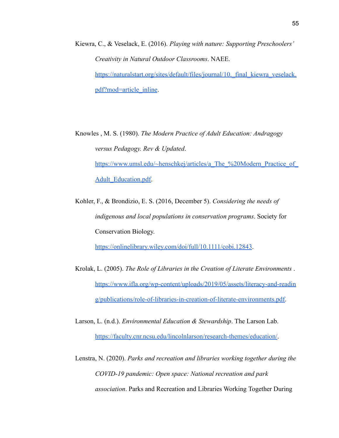- Kiewra, C., & Veselack, E. (2016). *Playing with nature: Supporting Preschoolers' Creativity in Natural Outdoor Classrooms*. NAEE. https://naturalstart.org/sites/default/files/journal/10. final kiewra veselack. [pdf?mod=article\\_inline](https://naturalstart.org/sites/default/files/journal/10._final_kiewra_veselack.pdf?mod=article_inline).
- Knowles , M. S. (1980). *The Modern Practice of Adult Education: Andragogy versus Pedagogy. Rev & Updated*. https://www.umsl.edu/~henschkej/articles/a\_The\_%20Modern\_Practice\_of [Adult\\_Education.pdf.](https://www.umsl.edu/~henschkej/articles/a_The_%20Modern_Practice_of_Adult_Education.pdf)
- Kohler, F., & Brondizio, E. S. (2016, December 5). *Considering the needs of indigenous and local populations in conservation programs*. Society for Conservation Biology.

<https://onlinelibrary.wiley.com/doi/full/10.1111/cobi.12843>.

- Krolak, L. (2005). *The Role of Libraries in the Creation of Literate Environments* . [https://www.ifla.org/wp-content/uploads/2019/05/assets/literacy-and-readin](https://www.ifla.org/wp-content/uploads/2019/05/assets/literacy-and-reading/publications/role-of-libraries-in-creation-of-literate-environments.pdf) [g/publications/role-of-libraries-in-creation-of-literate-environments.pdf.](https://www.ifla.org/wp-content/uploads/2019/05/assets/literacy-and-reading/publications/role-of-libraries-in-creation-of-literate-environments.pdf)
- Larson, L. (n.d.). *Environmental Education & Stewardship*. The Larson Lab. <https://faculty.cnr.ncsu.edu/lincolnlarson/research-themes/education/>.
- Lenstra, N. (2020). *Parks and recreation and libraries working together during the COVID-19 pandemic: Open space: National recreation and park association*. Parks and Recreation and Libraries Working Together During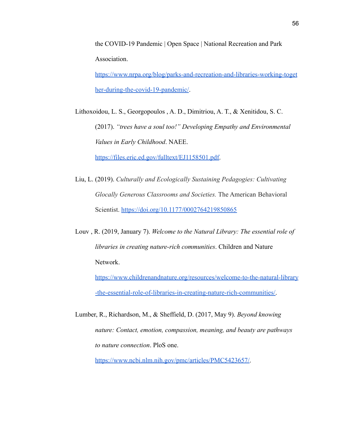the COVID-19 Pandemic | Open Space | National Recreation and Park Association.

[https://www.nrpa.org/blog/parks-and-recreation-and-libraries-working-toget](https://www.nrpa.org/blog/parks-and-recreation-and-libraries-working-together-during-the-covid-19-pandemic/) [her-during-the-covid-19-pandemic/](https://www.nrpa.org/blog/parks-and-recreation-and-libraries-working-together-during-the-covid-19-pandemic/).

Lithoxoidou, L. S., Georgopoulos , A. D., Dimitriou, A. T., & Xenitidou, S. C. (2017). *"trees have a soul too!" Developing Empathy and Environmental Values in Early Childhood*. NAEE.

[https://files.eric.ed.gov/fulltext/EJ1158501.pdf.](https://files.eric.ed.gov/fulltext/EJ1158501.pdf)

- Liu, L. (2019). *Culturally and Ecologically Sustaining Pedagogies: Cultivating Glocally Generous Classrooms and Societies.* The American Behavioral Scientist. <https://doi.org/10.1177/0002764219850865>
- Louv , R. (2019, January 7). *Welcome to the Natural Library: The essential role of libraries in creating nature-rich communities*. Children and Nature Network.

[https://www.childrenandnature.org/resources/welcome-to-the-natural-library](https://www.childrenandnature.org/resources/welcome-to-the-natural-library-the-essential-role-of-libraries-in-creating-nature-rich-communities/) [-the-essential-role-of-libraries-in-creating-nature-rich-communities/.](https://www.childrenandnature.org/resources/welcome-to-the-natural-library-the-essential-role-of-libraries-in-creating-nature-rich-communities/)

Lumber, R., Richardson, M., & Sheffield, D. (2017, May 9). *Beyond knowing nature: Contact, emotion, compassion, meaning, and beauty are pathways to nature connection*. PloS one.

[https://www.ncbi.nlm.nih.gov/pmc/articles/PMC5423657/.](https://www.ncbi.nlm.nih.gov/pmc/articles/PMC5423657/)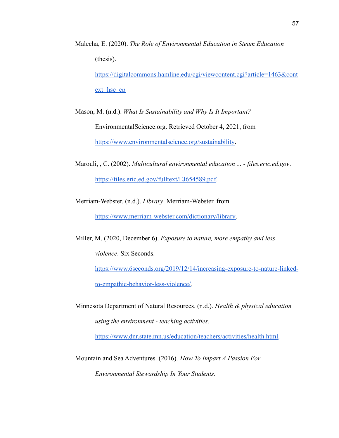Malecha, E. (2020). *The Role of Environmental Education in Steam Education* (thesis).

[https://digitalcommons.hamline.edu/cgi/viewcontent.cgi?article=1463&cont](https://digitalcommons.hamline.edu/cgi/viewcontent.cgi?article=1463&context=hse_cp) [ext=hse\\_cp](https://digitalcommons.hamline.edu/cgi/viewcontent.cgi?article=1463&context=hse_cp)

Mason, M. (n.d.). *What Is Sustainability and Why Is It Important?* EnvironmentalScience.org. Retrieved October 4, 2021, from <https://www.environmentalscience.org/sustainability>.

Marouli, , C. (2002). *Multicultural environmental education ... - files.eric.ed.gov*. <https://files.eric.ed.gov/fulltext/EJ654589.pdf>.

Merriam-Webster. (n.d.). *Library*. Merriam-Webster. from [https://www.merriam-webster.com/dictionary/library.](https://www.merriam-webster.com/dictionary/library)

Miller, M. (2020, December 6). *Exposure to nature, more empathy and less violence*. Six Seconds.

[https://www.6seconds.org/2019/12/14/increasing-exposure-to-nature-linked](https://www.6seconds.org/2019/12/14/increasing-exposure-to-nature-linked-to-empathic-behavior-less-violence/)[to-empathic-behavior-less-violence/.](https://www.6seconds.org/2019/12/14/increasing-exposure-to-nature-linked-to-empathic-behavior-less-violence/)

Minnesota Department of Natural Resources. (n.d.). *Health & physical education using the environment - teaching activities*.

[https://www.dnr.state.mn.us/education/teachers/activities/health.html.](https://www.dnr.state.mn.us/education/teachers/activities/health.html)

Mountain and Sea Adventures. (2016). *How To Impart A Passion For Environmental Stewardship In Your Students*.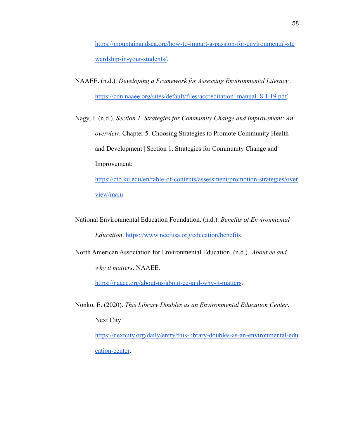[https://mountainandsea.org/how-to-impart-a-passion-for-environmental-ste](https://mountainandsea.org/how-to-impart-a-passion-for-environmental-stewardship-in-your-students/) [wardship-in-your-students/](https://mountainandsea.org/how-to-impart-a-passion-for-environmental-stewardship-in-your-students/).

- NAAEE. (n.d.). *Developing a Framework for Assessing Environmental Literacy* . [https://cdn.naaee.org/sites/default/files/accreditation\\_manual\\_8.1.19.pdf](https://cdn.naaee.org/sites/default/files/accreditation_manual_8.1.19.pdf).
- Nagy, J. (n.d.). *Section 1. Strategies for Community Change and improvement: An overview*. Chapter 5. Choosing Strategies to Promote Community Health and Development | Section 1. Strategies for Community Change and Improvement:

[https://ctb.ku.edu/en/table-of-contents/assessment/promotion-strategies/over](https://ctb.ku.edu/en/table-of-contents/assessment/promotion-strategies/overview/main) [view/main](https://ctb.ku.edu/en/table-of-contents/assessment/promotion-strategies/overview/main)

- National Environmental Education Foundation. (n.d.). *Benefits of Environmental Education*. <https://www.neefusa.org/education/benefits>.
- North American Association for Environmental Education. (n.d.). *About ee and why it matters*. NAAEE.

<https://naaee.org/about-us/about-ee-and-why-it-matters>.

Nonko, E. (2020). *This Library Doubles as an Environmental Education Center*. Next City

[https://nextcity.org/daily/entry/this-library-doubles-as-an-environmental-edu](https://nextcity.org/daily/entry/this-library-doubles-as-an-environmental-education-center) [cation-center](https://nextcity.org/daily/entry/this-library-doubles-as-an-environmental-education-center).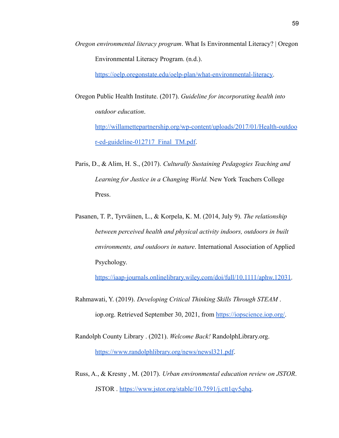*Oregon environmental literacy program*. What Is Environmental Literacy? | Oregon Environmental Literacy Program. (n.d.).

[https://oelp.oregonstate.edu/oelp-plan/what-environmental-literacy.](https://oelp.oregonstate.edu/oelp-plan/what-environmental-literacy)

Oregon Public Health Institute. (2017). *Guideline for incorporating health into outdoor education*.

[http://willamettepartnership.org/wp-content/uploads/2017/01/Health-outdoo](http://willamettepartnership.org/wp-content/uploads/2017/01/Health-outdoor-ed-guideline-012717_Final_TM.pdf) [r-ed-guideline-012717\\_Final\\_TM.pdf](http://willamettepartnership.org/wp-content/uploads/2017/01/Health-outdoor-ed-guideline-012717_Final_TM.pdf).

- Paris, D., & Alim, H. S., (2017). *Culturally Sustaining Pedagogies Teaching and Learning for Justice in a Changing World.* New York Teachers College Press.
- Pasanen, T. P., Tyrväinen, L., & Korpela, K. M. (2014, July 9). *The relationship between perceived health and physical activity indoors, outdoors in built environments, and outdoors in nature*. International Association of Applied Psychology.

[https://iaap-journals.onlinelibrary.wiley.com/doi/full/10.1111/aphw.12031.](https://iaap-journals.onlinelibrary.wiley.com/doi/full/10.1111/aphw.12031)

Rahmawati, Y. (2019). *Developing Critical Thinking Skills Through STEAM* . iop.org. Retrieved September 30, 2021, from [https://iopscience.iop.org/.](https://iopscience.iop.org/)

Randolph County Library . (2021). *Welcome Back!* RandolphLibrary.org. <https://www.randolphlibrary.org/news/newsl321.pdf>.

Russ, A., & Kresny , M. (2017). *Urban environmental education review on JSTOR*. JSTOR . <https://www.jstor.org/stable/10.7591/j.ctt1qv5qhq>.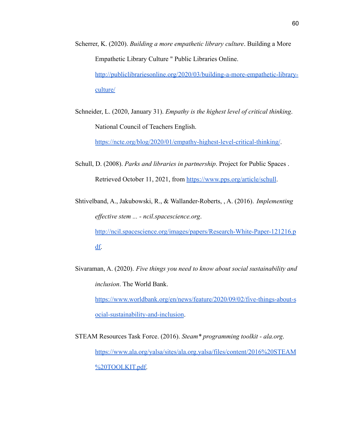- Scherrer, K. (2020). *Building a more empathetic library culture*. Building a More Empathetic Library Culture " Public Libraries Online. [http://publiclibrariesonline.org/2020/03/building-a-more-empathetic-library](http://publiclibrariesonline.org/2020/03/building-a-more-empathetic-library-culture/)[culture/](http://publiclibrariesonline.org/2020/03/building-a-more-empathetic-library-culture/)
- Schneider, L. (2020, January 31). *Empathy is the highest level of critical thinking*. National Council of Teachers English.

<https://ncte.org/blog/2020/01/empathy-highest-level-critical-thinking/>.

- Schull, D. (2008). *Parks and libraries in partnership*. Project for Public Spaces . Retrieved October 11, 2021, from <https://www.pps.org/article/schull>.
- Shtivelband, A., Jakubowski, R., & Wallander-Roberts, , A. (2016). *Implementing effective stem ... - ncil.spacescience.org*.

[http://ncil.spacescience.org/images/papers/Research-White-Paper-121216.p](http://ncil.spacescience.org/images/papers/Research-White-Paper-121216.pdf) [df.](http://ncil.spacescience.org/images/papers/Research-White-Paper-121216.pdf)

Sivaraman, A. (2020). *Five things you need to know about social sustainability and inclusion*. The World Bank.

[https://www.worldbank.org/en/news/feature/2020/09/02/five-things-about-s](https://www.worldbank.org/en/news/feature/2020/09/02/five-things-about-social-sustainability-and-inclusion) [ocial-sustainability-and-inclusion](https://www.worldbank.org/en/news/feature/2020/09/02/five-things-about-social-sustainability-and-inclusion).

STEAM Resources Task Force. (2016). *Steam\* programming toolkit - ala.org*. [https://www.ala.org/yalsa/sites/ala.org.yalsa/files/content/2016%20STEAM](https://www.ala.org/yalsa/sites/ala.org.yalsa/files/content/2016%20STEAM%20TOOLKIT.pdf) [%20TOOLKIT.pdf.](https://www.ala.org/yalsa/sites/ala.org.yalsa/files/content/2016%20STEAM%20TOOLKIT.pdf)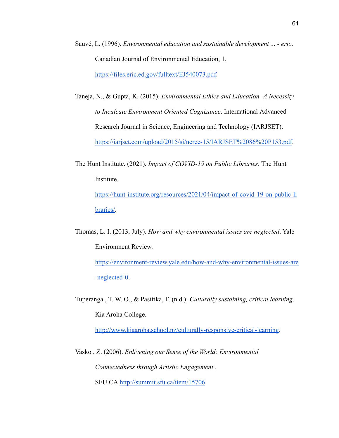- Sauvé, L. (1996). *Environmental education and sustainable development ... eric*. Canadian Journal of Environmental Education, 1. <https://files.eric.ed.gov/fulltext/EJ540073.pdf>.
- Taneja, N., & Gupta, K. (2015). *Environmental Ethics and Education- A Necessity to Inculcate Environment Oriented Cognizance*. International Advanced Research Journal in Science, Engineering and Technology (IARJSET). [https://iarjset.com/upload/2015/si/ncree-15/IARJSET%2086%20P153.pdf.](https://iarjset.com/upload/2015/si/ncree-15/IARJSET%2086%20P153.pdf)
- The Hunt Institute. (2021). *Impact of COVID-19 on Public Libraries*. The Hunt Institute. [https://hunt-institute.org/resources/2021/04/impact-of-covid-19-on-public-li](https://hunt-institute.org/resources/2021/04/impact-of-covid-19-on-public-libraries/) [braries/.](https://hunt-institute.org/resources/2021/04/impact-of-covid-19-on-public-libraries/)
- Thomas, L. I. (2013, July). *How and why environmental issues are neglected*. Yale Environment Review.

[https://environment-review.yale.edu/how-and-why-environmental-issues-are](https://environment-review.yale.edu/how-and-why-environmental-issues-are-neglected-0) [-neglected-0.](https://environment-review.yale.edu/how-and-why-environmental-issues-are-neglected-0)

Tuperanga , T. W. O., & Pasifika, F. (n.d.). *Culturally sustaining, critical learning*. Kia Aroha College.

[http://www.kiaaroha.school.nz/culturally-responsive-critical-learning.](http://www.kiaaroha.school.nz/culturally-responsive-critical-learning)

Vasko , Z. (2006). *Enlivening our Sense of the World: Environmental Connectedness through Artistic Engagement* .

SFU.CA[.http://summit.sfu.ca/item/15706](http://summit.sfu.ca/item/15706)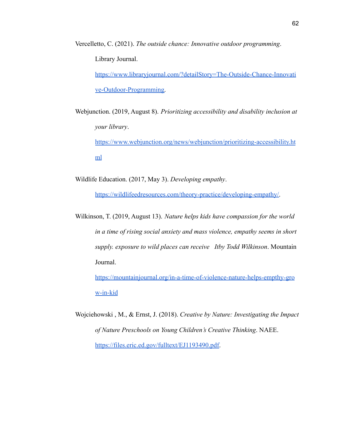Vercelletto, C. (2021). *The outside chance: Innovative outdoor programming*. Library Journal. [https://www.libraryjournal.com/?detailStory=The-Outside-Chance-Innovati](https://www.libraryjournal.com/?detailStory=The-Outside-Chance-Innovative-Outdoor-Programming)

[ve-Outdoor-Programming.](https://www.libraryjournal.com/?detailStory=The-Outside-Chance-Innovative-Outdoor-Programming)

Webjunction. (2019, August 8). *Prioritizing accessibility and disability inclusion at your library*.

[https://www.webjunction.org/news/webjunction/prioritizing-accessibility.ht](https://www.webjunction.org/news/webjunction/prioritizing-accessibility.html) [ml](https://www.webjunction.org/news/webjunction/prioritizing-accessibility.html)

Wildlife Education. (2017, May 3). *Developing empathy*.

[https://wildlifeedresources.com/theory-practice/developing-empathy/.](https://wildlifeedresources.com/theory-practice/developing-empathy/)

Wilkinson, T. (2019, August 13). *Nature helps kids have compassion for the world in a time of rising social anxiety and mass violence, empathy seems in short supply. exposure to wild places can receive Itby Todd Wilkinson*. Mountain Journal.

[https://mountainjournal.org/in-a-time-of-violence-nature-helps-empthy-gro](https://mountainjournal.org/in-a-time-of-violence-nature-helps-empthy-grow-in-kid) [w-in-kid](https://mountainjournal.org/in-a-time-of-violence-nature-helps-empthy-grow-in-kid)

Wojciehowski , M., & Ernst, J. (2018). *Creative by Nature: Investigating the Impact of Nature Preschools on Young Children's Creative Thinking*. NAEE. [https://files.eric.ed.gov/fulltext/EJ1193490.pdf.](https://files.eric.ed.gov/fulltext/EJ1193490.pdf)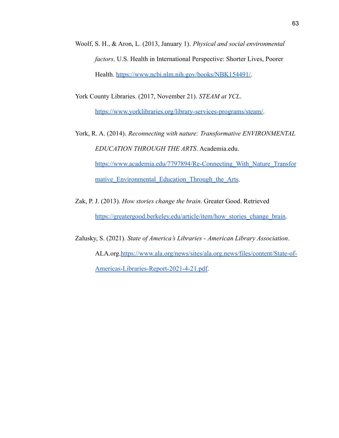Woolf, S. H., & Aron, L. (2013, January 1). *Physical and social environmental factors*. U.S. Health in International Perspective: Shorter Lives, Poorer Health. [https://www.ncbi.nlm.nih.gov/books/NBK154491/.](https://www.ncbi.nlm.nih.gov/books/NBK154491/)

York County Libraries. (2017, November 21). *STEAM at YCL*.

<https://www.yorklibraries.org/library-services-programs/steam/>.

- York, R. A. (2014). *Reconnecting with nature: Transformative ENVIRONMENTAL EDUCATION THROUGH THE ARTS*. Academia.edu. [https://www.academia.edu/7797894/Re-Connecting\\_With\\_Nature\\_Transfor](https://www.academia.edu/7797894/Re-Connecting_With_Nature_Transformative_Environmental_Education_Through_the_Arts) mative Environmental Education Through the Arts.
- Zak, P. J. (2013). *How stories change the brain*. Greater Good. Retrieved [https://greatergood.berkeley.edu/article/item/how\\_stories\\_change\\_brain.](https://greatergood.berkeley.edu/article/item/how_stories_change_brain)

Zalusky, S. (2021). *State of America's Libraries - American Library Association*. ALA.org[.https://www.ala.org/news/sites/ala.org.news/files/content/State-of-](https://www.ala.org/news/sites/ala.org.news/files/content/State-of-Americas-Libraries-Report-2021-4-21.pdf)[Americas-Libraries-Report-2021-4-21.pdf.](https://www.ala.org/news/sites/ala.org.news/files/content/State-of-Americas-Libraries-Report-2021-4-21.pdf)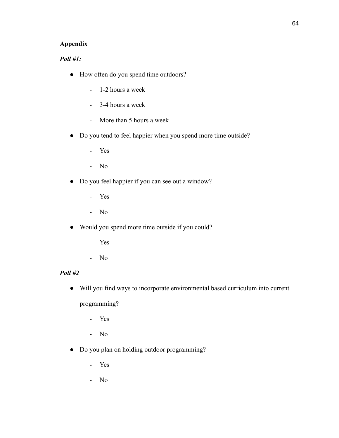# **Appendix**

# *Poll #1:*

- How often do you spend time outdoors?
	- 1-2 hours a week
	- 3-4 hours a week
	- More than 5 hours a week
- Do you tend to feel happier when you spend more time outside?
	- Yes
	- No
- Do you feel happier if you can see out a window?
	- Yes
	- No
- Would you spend more time outside if you could?
	- Yes
	- No

# *Poll #2*

● Will you find ways to incorporate environmental based curriculum into current

programming?

- Yes
- No
- Do you plan on holding outdoor programming?
	- Yes
	- No